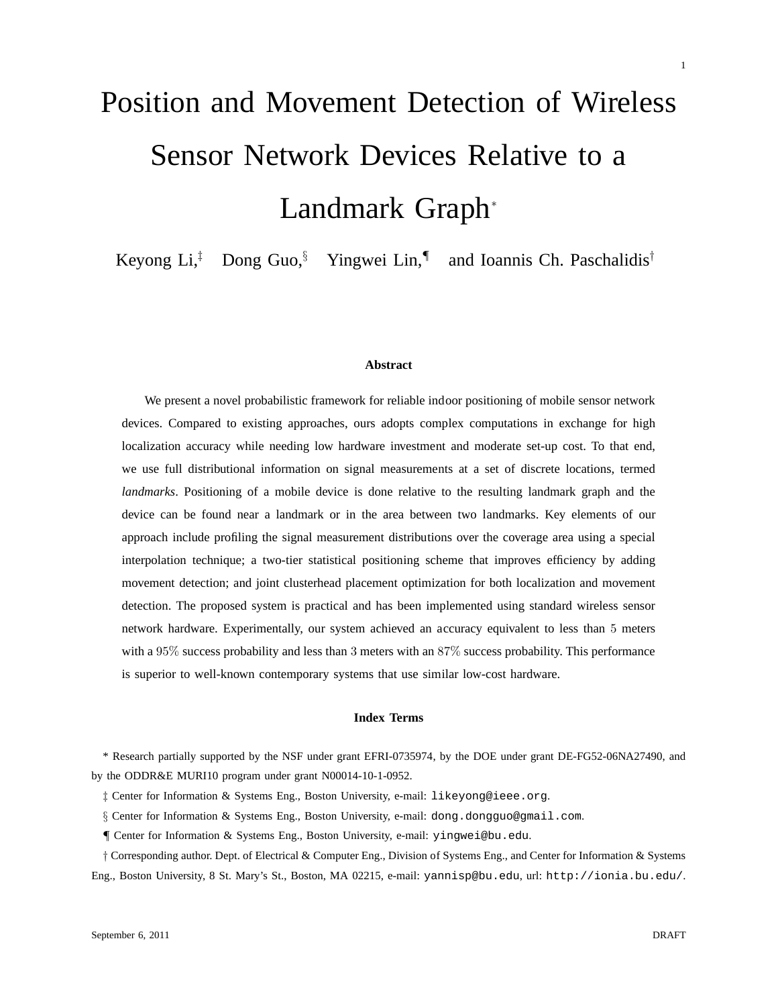# Position and Movement Detection of Wireless Sensor Network Devices Relative to a Landmark Graph<sup>∗</sup>

Keyong Li,<sup>‡</sup> Dong Guo,<sup>§</sup> Yingwei Lin,<sup>¶</sup> and Ioannis Ch. Paschalidis<sup>†</sup>

#### **Abstract**

We present a novel probabilistic framework for reliable indoor positioning of mobile sensor network devices. Compared to existing approaches, ours adopts complex computations in exchange for high localization accuracy while needing low hardware investment and moderate set-up cost. To that end, we use full distributional information on signal measurements at a set of discrete locations, termed *landmarks*. Positioning of a mobile device is done relative to the resulting landmark graph and the device can be found near a landmark or in the area between two landmarks. Key elements of our approach include profiling the signal measurement distributions over the coverage area using a special interpolation technique; a two-tier statistical positioning scheme that improves efficiency by adding movement detection; and joint clusterhead placement optimization for both localization and movement detection. The proposed system is practical and has been implemented using standard wireless sensor network hardware. Experimentally, our system achieved an accuracy equivalent to less than 5 meters with a 95% success probability and less than 3 meters with an 87% success probability. This performance is superior to well-known contemporary systems that use similar low-cost hardware.

#### **Index Terms**

\* Research partially supported by the NSF under grant EFRI-0735974, by the DOE under grant DE-FG52-06NA27490, and by the ODDR&E MURI10 program under grant N00014-10-1-0952.

‡ Center for Information & Systems Eng., Boston University, e-mail: likeyong@ieee.org.

§ Center for Information & Systems Eng., Boston University, e-mail: dong.dongguo@gmail.com.

¶ Center for Information & Systems Eng., Boston University, e-mail: yingwei@bu.edu.

† Corresponding author. Dept. of Electrical & Computer Eng., Division of Systems Eng., and Center for Information & Systems Eng., Boston University, 8 St. Mary's St., Boston, MA 02215, e-mail: yannisp@bu.edu, url: http://ionia.bu.edu/.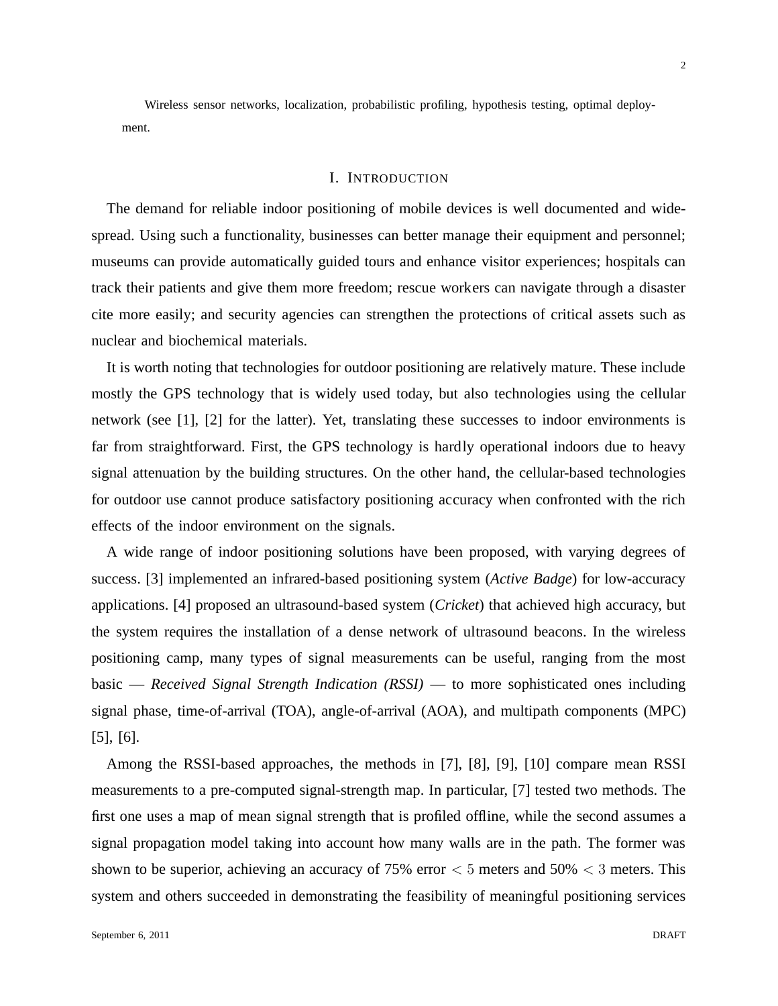Wireless sensor networks, localization, probabilistic profiling, hypothesis testing, optimal deployment.

## I. INTRODUCTION

The demand for reliable indoor positioning of mobile devices is well documented and widespread. Using such a functionality, businesses can better manage their equipment and personnel; museums can provide automatically guided tours and enhance visitor experiences; hospitals can track their patients and give them more freedom; rescue workers can navigate through a disaster cite more easily; and security agencies can strengthen the protections of critical assets such as nuclear and biochemical materials.

It is worth noting that technologies for outdoor positioning are relatively mature. These include mostly the GPS technology that is widely used today, but also technologies using the cellular network (see [1], [2] for the latter). Yet, translating these successes to indoor environments is far from straightforward. First, the GPS technology is hardly operational indoors due to heavy signal attenuation by the building structures. On the other hand, the cellular-based technologies for outdoor use cannot produce satisfactory positioning accuracy when confronted with the rich effects of the indoor environment on the signals.

A wide range of indoor positioning solutions have been proposed, with varying degrees of success. [3] implemented an infrared-based positioning system (*Active Badge*) for low-accuracy applications. [4] proposed an ultrasound-based system (*Cricket*) that achieved high accuracy, but the system requires the installation of a dense network of ultrasound beacons. In the wireless positioning camp, many types of signal measurements can be useful, ranging from the most basic — *Received Signal Strength Indication (RSSI)* — to more sophisticated ones including signal phase, time-of-arrival (TOA), angle-of-arrival (AOA), and multipath components (MPC) [5], [6].

Among the RSSI-based approaches, the methods in [7], [8], [9], [10] compare mean RSSI measurements to a pre-computed signal-strength map. In particular, [7] tested two methods. The first one uses a map of mean signal strength that is profiled offline, while the second assumes a signal propagation model taking into account how many walls are in the path. The former was shown to be superior, achieving an accuracy of 75% error  $<$  5 meters and 50%  $<$  3 meters. This system and others succeeded in demonstrating the feasibility of meaningful positioning services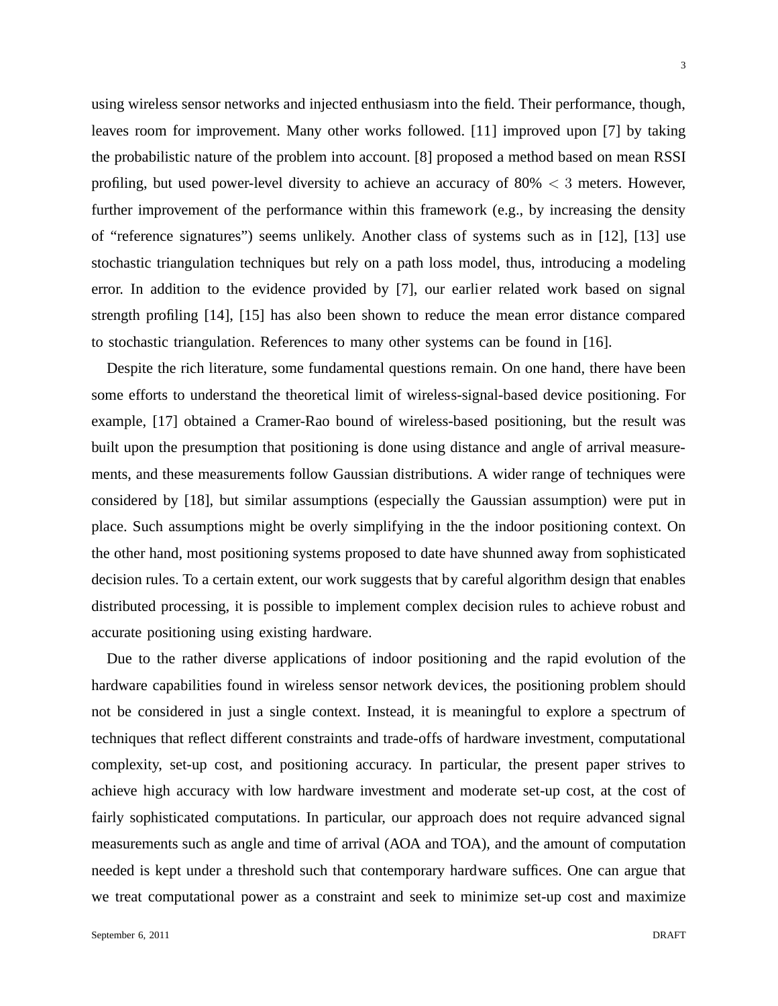using wireless sensor networks and injected enthusiasm into the field. Their performance, though, leaves room for improvement. Many other works followed. [11] improved upon [7] by taking

the probabilistic nature of the problem into account. [8] proposed a method based on mean RSSI profiling, but used power-level diversity to achieve an accuracy of  $80\% < 3$  meters. However, further improvement of the performance within this framework (e.g., by increasing the density of "reference signatures") seems unlikely. Another class of systems such as in [12], [13] use stochastic triangulation techniques but rely on a path loss model, thus, introducing a modeling error. In addition to the evidence provided by [7], our earlier related work based on signal strength profiling [14], [15] has also been shown to reduce the mean error distance compared to stochastic triangulation. References to many other systems can be found in [16].

Despite the rich literature, some fundamental questions remain. On one hand, there have been some efforts to understand the theoretical limit of wireless-signal-based device positioning. For example, [17] obtained a Cramer-Rao bound of wireless-based positioning, but the result was built upon the presumption that positioning is done using distance and angle of arrival measurements, and these measurements follow Gaussian distributions. A wider range of techniques were considered by [18], but similar assumptions (especially the Gaussian assumption) were put in place. Such assumptions might be overly simplifying in the the indoor positioning context. On the other hand, most positioning systems proposed to date have shunned away from sophisticated decision rules. To a certain extent, our work suggests that by careful algorithm design that enables distributed processing, it is possible to implement complex decision rules to achieve robust and accurate positioning using existing hardware.

Due to the rather diverse applications of indoor positioning and the rapid evolution of the hardware capabilities found in wireless sensor network devices, the positioning problem should not be considered in just a single context. Instead, it is meaningful to explore a spectrum of techniques that reflect different constraints and trade-offs of hardware investment, computational complexity, set-up cost, and positioning accuracy. In particular, the present paper strives to achieve high accuracy with low hardware investment and moderate set-up cost, at the cost of fairly sophisticated computations. In particular, our approach does not require advanced signal measurements such as angle and time of arrival (AOA and TOA), and the amount of computation needed is kept under a threshold such that contemporary hardware suffices. One can argue that we treat computational power as a constraint and seek to minimize set-up cost and maximize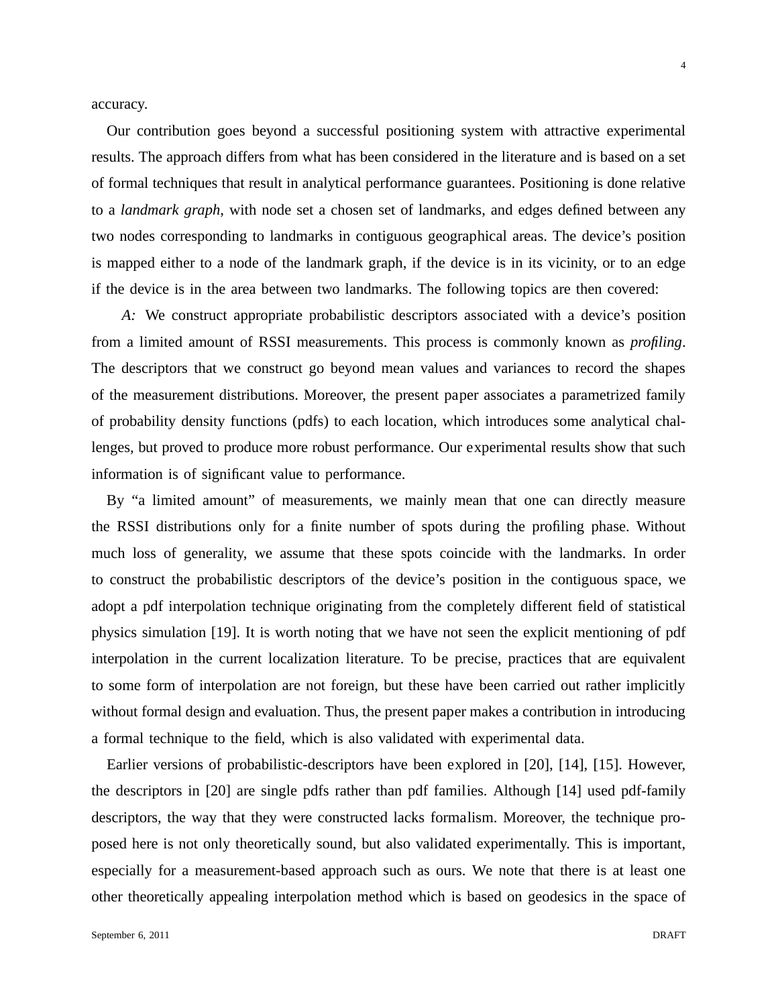accuracy.

Our contribution goes beyond a successful positioning system with attractive experimental results. The approach differs from what has been considered in the literature and is based on a set of formal techniques that result in analytical performance guarantees. Positioning is done relative to a *landmark graph*, with node set a chosen set of landmarks, and edges defined between any two nodes corresponding to landmarks in contiguous geographical areas. The device's position is mapped either to a node of the landmark graph, if the device is in its vicinity, or to an edge if the device is in the area between two landmarks. The following topics are then covered:

*A:* We construct appropriate probabilistic descriptors associated with a device's position from a limited amount of RSSI measurements. This process is commonly known as *profiling*. The descriptors that we construct go beyond mean values and variances to record the shapes of the measurement distributions. Moreover, the present paper associates a parametrized family of probability density functions (pdfs) to each location, which introduces some analytical challenges, but proved to produce more robust performance. Our experimental results show that such information is of significant value to performance.

By "a limited amount" of measurements, we mainly mean that one can directly measure the RSSI distributions only for a finite number of spots during the profiling phase. Without much loss of generality, we assume that these spots coincide with the landmarks. In order to construct the probabilistic descriptors of the device's position in the contiguous space, we adopt a pdf interpolation technique originating from the completely different field of statistical physics simulation [19]. It is worth noting that we have not seen the explicit mentioning of pdf interpolation in the current localization literature. To be precise, practices that are equivalent to some form of interpolation are not foreign, but these have been carried out rather implicitly without formal design and evaluation. Thus, the present paper makes a contribution in introducing a formal technique to the field, which is also validated with experimental data.

Earlier versions of probabilistic-descriptors have been explored in [20], [14], [15]. However, the descriptors in [20] are single pdfs rather than pdf families. Although [14] used pdf-family descriptors, the way that they were constructed lacks formalism. Moreover, the technique proposed here is not only theoretically sound, but also validated experimentally. This is important, especially for a measurement-based approach such as ours. We note that there is at least one other theoretically appealing interpolation method which is based on geodesics in the space of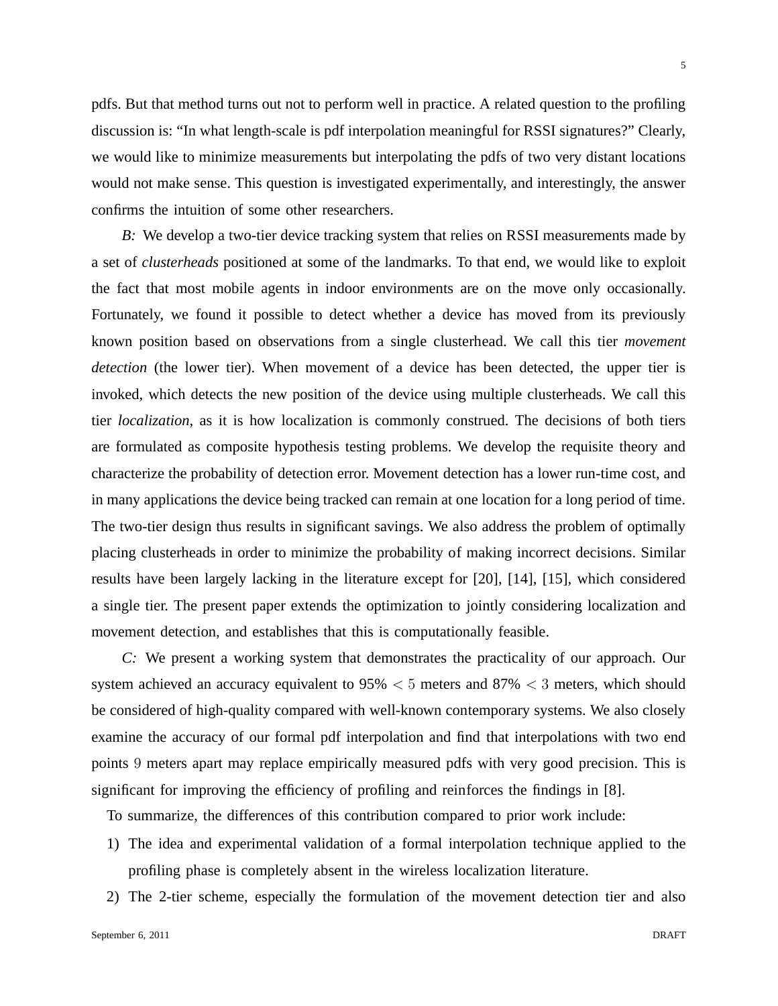pdfs. But that method turns out not to perform well in practice. A related question to the profiling discussion is: "In what length-scale is pdf interpolation meaningful for RSSI signatures?" Clearly, we would like to minimize measurements but interpolating the pdfs of two very distant locations would not make sense. This question is investigated experimentally, and interestingly, the answer confirms the intuition of some other researchers.

*B:* We develop a two-tier device tracking system that relies on RSSI measurements made by a set of *clusterheads* positioned at some of the landmarks. To that end, we would like to exploit the fact that most mobile agents in indoor environments are on the move only occasionally. Fortunately, we found it possible to detect whether a device has moved from its previously known position based on observations from a single clusterhead. We call this tier *movement detection* (the lower tier). When movement of a device has been detected, the upper tier is invoked, which detects the new position of the device using multiple clusterheads. We call this tier *localization*, as it is how localization is commonly construed. The decisions of both tiers are formulated as composite hypothesis testing problems. We develop the requisite theory and characterize the probability of detection error. Movement detection has a lower run-time cost, and in many applications the device being tracked can remain at one location for a long period of time. The two-tier design thus results in significant savings. We also address the problem of optimally placing clusterheads in order to minimize the probability of making incorrect decisions. Similar results have been largely lacking in the literature except for [20], [14], [15], which considered a single tier. The present paper extends the optimization to jointly considering localization and movement detection, and establishes that this is computationally feasible.

*C:* We present a working system that demonstrates the practicality of our approach. Our system achieved an accuracy equivalent to  $95\% < 5$  meters and  $87\% < 3$  meters, which should be considered of high-quality compared with well-known contemporary systems. We also closely examine the accuracy of our formal pdf interpolation and find that interpolations with two end points 9 meters apart may replace empirically measured pdfs with very good precision. This is significant for improving the efficiency of profiling and reinforces the findings in [8].

To summarize, the differences of this contribution compared to prior work include:

- 1) The idea and experimental validation of a formal interpolation technique applied to the profiling phase is completely absent in the wireless localization literature.
- 2) The 2-tier scheme, especially the formulation of the movement detection tier and also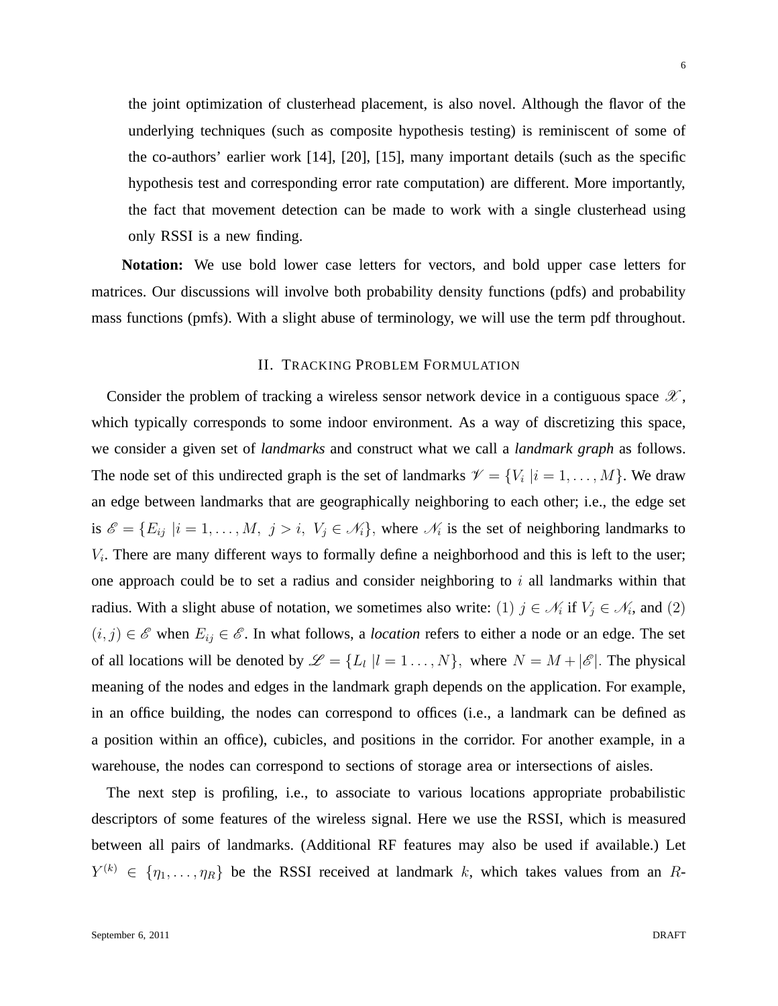the joint optimization of clusterhead placement, is also novel. Although the flavor of the underlying techniques (such as composite hypothesis testing) is reminiscent of some of the co-authors' earlier work [14], [20], [15], many important details (such as the specific hypothesis test and corresponding error rate computation) are different. More importantly, the fact that movement detection can be made to work with a single clusterhead using only RSSI is a new finding.

**Notation:** We use bold lower case letters for vectors, and bold upper case letters for matrices. Our discussions will involve both probability density functions (pdfs) and probability mass functions (pmfs). With a slight abuse of terminology, we will use the term pdf throughout.

## II. TRACKING PROBLEM FORMULATION

Consider the problem of tracking a wireless sensor network device in a contiguous space  $\mathscr{X}$ , which typically corresponds to some indoor environment. As a way of discretizing this space, we consider a given set of *landmarks* and construct what we call a *landmark graph* as follows. The node set of this undirected graph is the set of landmarks  $\mathcal{V} = \{V_i \mid i = 1, ..., M\}$ . We draw an edge between landmarks that are geographically neighboring to each other; i.e., the edge set is  $\mathscr{E} = \{E_{ij} | i = 1, ..., M, j > i, V_j \in \mathcal{N}_i\}$ , where  $\mathcal{N}_i$  is the set of neighboring landmarks to  $V_i$ . There are many different ways to formally define a neighborhood and this is left to the user; one approach could be to set a radius and consider neighboring to  $i$  all landmarks within that radius. With a slight abuse of notation, we sometimes also write: (1)  $j \in \mathcal{N}_i$  if  $V_j \in \mathcal{N}_i$ , and (2)  $(i, j) \in \mathcal{E}$  when  $E_{ij} \in \mathcal{E}$ . In what follows, a *location* refers to either a node or an edge. The set of all locations will be denoted by  $\mathscr{L} = \{L_l | l = 1 \dots, N\}$ , where  $N = M + |\mathscr{E}|$ . The physical meaning of the nodes and edges in the landmark graph depends on the application. For example, in an office building, the nodes can correspond to offices (i.e., a landmark can be defined as a position within an office), cubicles, and positions in the corridor. For another example, in a warehouse, the nodes can correspond to sections of storage area or intersections of aisles.

The next step is profiling, i.e., to associate to various locations appropriate probabilistic descriptors of some features of the wireless signal. Here we use the RSSI, which is measured between all pairs of landmarks. (Additional RF features may also be used if available.) Let  $Y^{(k)} \in \{\eta_1, \ldots, \eta_R\}$  be the RSSI received at landmark k, which takes values from an R-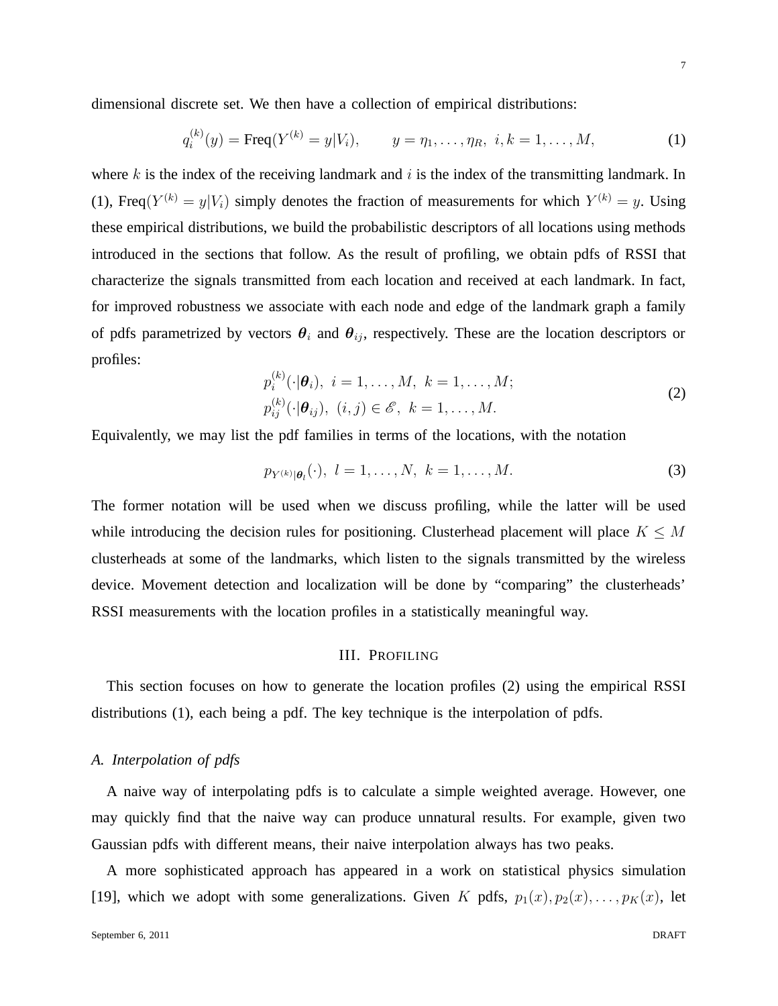$$
q_i^{(k)}(y) = \text{Freq}(Y^{(k)} = y | V_i), \qquad y = \eta_1, \dots, \eta_R, \ i, k = 1, \dots, M,
$$
 (1)

where k is the index of the receiving landmark and i is the index of the transmitting landmark. In (1), Freq $(Y^{(k)} = y | V_i)$  simply denotes the fraction of measurements for which  $Y^{(k)} = y$ . Using these empirical distributions, we build the probabilistic descriptors of all locations using methods introduced in the sections that follow. As the result of profiling, we obtain pdfs of RSSI that characterize the signals transmitted from each location and received at each landmark. In fact, for improved robustness we associate with each node and edge of the landmark graph a family of pdfs parametrized by vectors  $\theta_i$  and  $\theta_{ij}$ , respectively. These are the location descriptors or profiles:  $\lambda$ 

$$
p_i^{(k)}(\cdot|\boldsymbol{\theta}_i), \ i = 1, \dots, M, \ k = 1, \dots, M;
$$
  

$$
p_{ij}^{(k)}(\cdot|\boldsymbol{\theta}_{ij}), \ (i,j) \in \mathscr{E}, \ k = 1, \dots, M.
$$
 (2)

Equivalently, we may list the pdf families in terms of the locations, with the notation

$$
p_{Y^{(k)}|\theta_l}(\cdot), \ l = 1, \ldots, N, \ k = 1, \ldots, M. \tag{3}
$$

The former notation will be used when we discuss profiling, while the latter will be used while introducing the decision rules for positioning. Clusterhead placement will place  $K \leq M$ clusterheads at some of the landmarks, which listen to the signals transmitted by the wireless device. Movement detection and localization will be done by "comparing" the clusterheads' RSSI measurements with the location profiles in a statistically meaningful way.

#### III. PROFILING

This section focuses on how to generate the location profiles (2) using the empirical RSSI distributions (1), each being a pdf. The key technique is the interpolation of pdfs.

#### *A. Interpolation of pdfs*

A naive way of interpolating pdfs is to calculate a simple weighted average. However, one may quickly find that the naive way can produce unnatural results. For example, given two Gaussian pdfs with different means, their naive interpolation always has two peaks.

A more sophisticated approach has appeared in a work on statistical physics simulation [19], which we adopt with some generalizations. Given K pdfs,  $p_1(x), p_2(x), \ldots, p_K(x)$ , let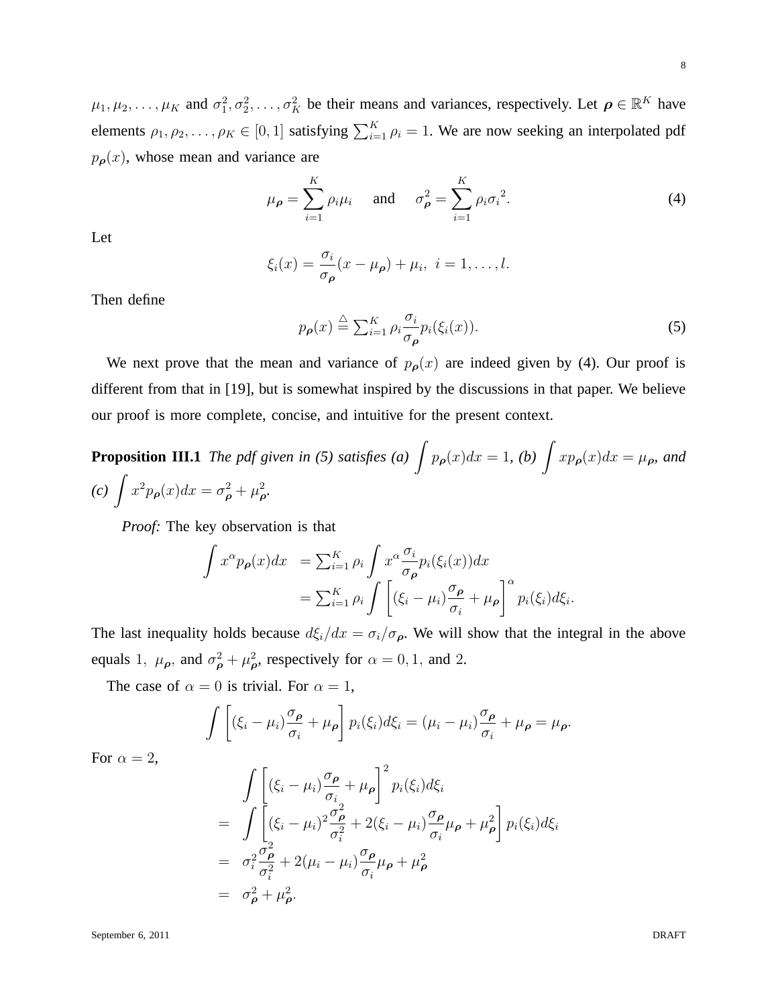8

 $\mu_1, \mu_2, \ldots, \mu_K$  and  $\sigma_1^2, \sigma_2^2, \ldots, \sigma_K^2$  be their means and variances, respectively. Let  $\rho \in \mathbb{R}^K$  have elements  $\rho_1, \rho_2, \ldots, \rho_K \in [0, 1]$  satisfying  $\sum_{i=1}^K \rho_i = 1$ . We are now seeking an interpolated pdf  $p_{p}(x)$ , whose mean and variance are

$$
\mu_{\rho} = \sum_{i=1}^{K} \rho_i \mu_i \quad \text{and} \quad \sigma_{\rho}^2 = \sum_{i=1}^{K} \rho_i {\sigma_i}^2.
$$
 (4)

Let

$$
\xi_i(x) = \frac{\sigma_i}{\sigma_{\rho}}(x - \mu_{\rho}) + \mu_i, \ i = 1, \ldots, l.
$$

Then define

$$
p_{\rho}(x) \stackrel{\triangle}{=} \sum_{i=1}^{K} \rho_i \frac{\sigma_i}{\sigma_{\rho}} p_i(\xi_i(x)).
$$
\n(5)

We next prove that the mean and variance of  $p<sub>p</sub>(x)$  are indeed given by (4). Our proof is different from that in [19], but is somewhat inspired by the discussions in that paper. We believe our proof is more complete, concise, and intuitive for the present context.

**Proposition III.1** The pdf given in (5) satisfies (a)  $\int p_{\rho}(x)dx = 1$ , (b)  $\int xp_{\rho}(x)dx = \mu_{\rho}$ , and (*c*)  $\int x^2 p_{\rho}(x) dx = \sigma_{\rho}^2 + \mu_{\rho}^2$ .

*Proof:* The key observation is that

$$
\int x^{\alpha} p_{\rho}(x) dx = \sum_{i=1}^{K} \rho_i \int x^{\alpha} \frac{\sigma_i}{\sigma_{\rho}} p_i(\xi_i(x)) dx
$$
  
= 
$$
\sum_{i=1}^{K} \rho_i \int \left[ (\xi_i - \mu_i) \frac{\sigma_{\rho}}{\sigma_i} + \mu_{\rho} \right]^{\alpha} p_i(\xi_i) d\xi_i.
$$

The last inequality holds because  $d\xi_i/dx = \sigma_i/\sigma_{\rho}$ . We will show that the integral in the above equals 1,  $\mu_{\rho}$ , and  $\sigma_{\rho}^2 + \mu_{\rho}^2$ , respectively for  $\alpha = 0, 1$ , and 2.

The case of  $\alpha = 0$  is trivial. For  $\alpha = 1$ ,

$$
\int \left[ (\xi_i - \mu_i) \frac{\sigma_{\rho}}{\sigma_i} + \mu_{\rho} \right] p_i(\xi_i) d\xi_i = (\mu_i - \mu_i) \frac{\sigma_{\rho}}{\sigma_i} + \mu_{\rho} = \mu_{\rho}.
$$

For  $\alpha = 2$ ,

$$
\int \left[ (\xi_i - \mu_i) \frac{\sigma_\rho}{\sigma_i} + \mu_\rho \right]^2 p_i(\xi_i) d\xi_i
$$
\n
$$
= \int \left[ (\xi_i - \mu_i)^2 \frac{\sigma_\rho^2}{\sigma_i^2} + 2(\xi_i - \mu_i) \frac{\sigma_\rho}{\sigma_i} \mu_\rho + \mu_\rho^2 \right] p_i(\xi_i) d\xi_i
$$
\n
$$
= \sigma_i^2 \frac{\sigma_\rho^2}{\sigma_i^2} + 2(\mu_i - \mu_i) \frac{\sigma_\rho}{\sigma_i} \mu_\rho + \mu_\rho^2
$$
\n
$$
= \sigma_\rho^2 + \mu_\rho^2.
$$

September 6, 2011 DRAFT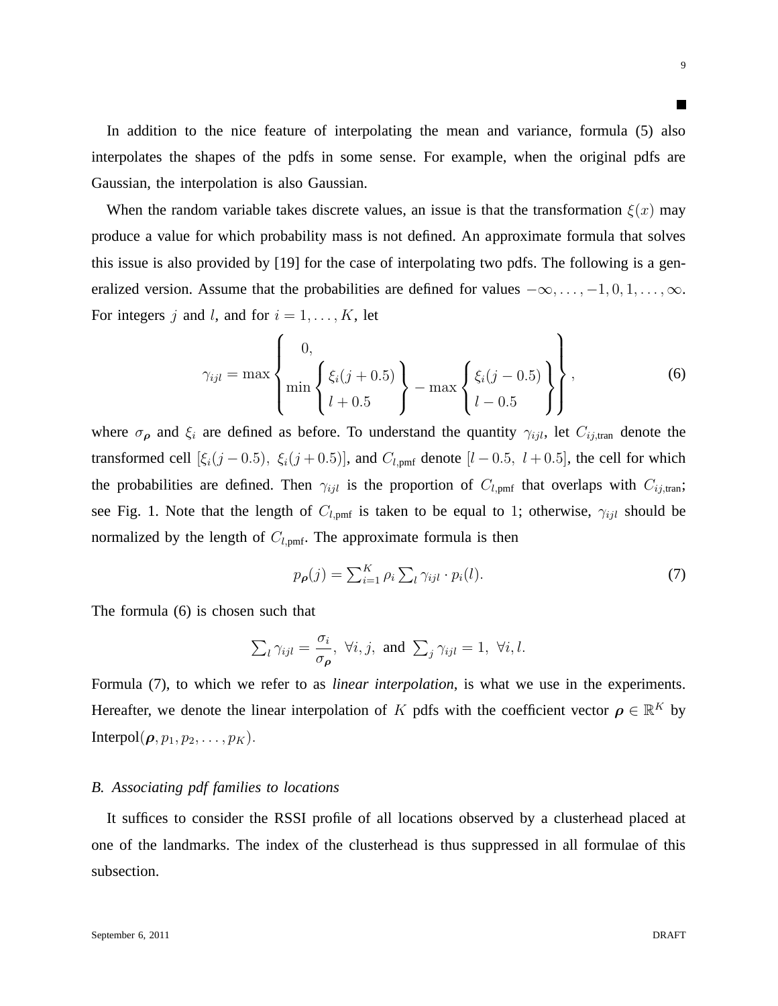In addition to the nice feature of interpolating the mean and variance, formula (5) also interpolates the shapes of the pdfs in some sense. For example, when the original pdfs are Gaussian, the interpolation is also Gaussian.

When the random variable takes discrete values, an issue is that the transformation  $\xi(x)$  may produce a value for which probability mass is not defined. An approximate formula that solves this issue is also provided by [19] for the case of interpolating two pdfs. The following is a generalized version. Assume that the probabilities are defined for values  $-\infty, \ldots, -1, 0, 1, \ldots, \infty$ . For integers j and l, and for  $i = 1, \ldots, K$ , let

$$
\gamma_{ijl} = \max \left\{ \min_{l} \left\{ \xi_i(j+0.5) \atop l+0.5} \right\} - \max \left\{ \xi_i(j-0.5) \atop l-0.5} \right\},
$$
\n(6)

where  $\sigma_{\rho}$  and  $\xi_i$  are defined as before. To understand the quantity  $\gamma_{ijl}$ , let  $C_{ij,tran}$  denote the transformed cell  $[\xi_i(j-0.5), \xi_i(j+0.5)]$ , and  $C_{l,pm}$  denote  $[l-0.5, l+0.5]$ , the cell for which the probabilities are defined. Then  $\gamma_{ijl}$  is the proportion of  $C_{l,pm}$  that overlaps with  $C_{ij,tran}$ ; see Fig. 1. Note that the length of  $C_{l,pm}$  is taken to be equal to 1; otherwise,  $\gamma_{ijl}$  should be normalized by the length of  $C_{l, \text{pmf}}$ . The approximate formula is then

$$
p_{\boldsymbol{\rho}}(j) = \sum_{i=1}^{K} \rho_i \sum_{l} \gamma_{ijl} \cdot p_i(l). \tag{7}
$$

The formula (6) is chosen such that

$$
\sum_l \gamma_{ijl} = \frac{\sigma_i}{\sigma_{\rho}}, \ \forall i, j, \text{ and } \sum_j \gamma_{ijl} = 1, \ \forall i, l.
$$

Formula (7), to which we refer to as *linear interpolation*, is what we use in the experiments. Hereafter, we denote the linear interpolation of K pdfs with the coefficient vector  $\rho \in \mathbb{R}^K$  by Interpol $(\rho, p_1, p_2, \ldots, p_K)$ .

## *B. Associating pdf families to locations*

It suffices to consider the RSSI profile of all locations observed by a clusterhead placed at one of the landmarks. The index of the clusterhead is thus suppressed in all formulae of this subsection.

 $\blacksquare$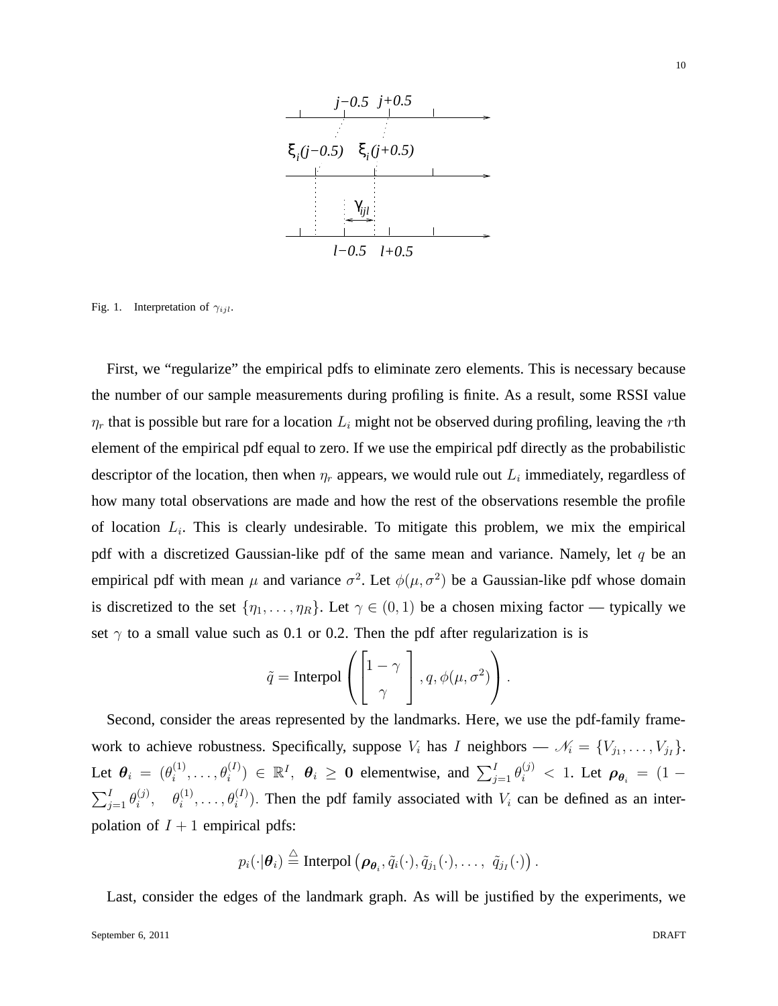

Fig. 1. Interpretation of  $\gamma_{ijl}$ .

First, we "regularize" the empirical pdfs to eliminate zero elements. This is necessary because the number of our sample measurements during profiling is finite. As a result, some RSSI value  $\eta_r$  that is possible but rare for a location  $L_i$  might not be observed during profiling, leaving the rth element of the empirical pdf equal to zero. If we use the empirical pdf directly as the probabilistic descriptor of the location, then when  $\eta_r$  appears, we would rule out  $L_i$  immediately, regardless of how many total observations are made and how the rest of the observations resemble the profile of location  $L_i$ . This is clearly undesirable. To mitigate this problem, we mix the empirical pdf with a discretized Gaussian-like pdf of the same mean and variance. Namely, let  $q$  be an empirical pdf with mean  $\mu$  and variance  $\sigma^2$ . Let  $\phi(\mu, \sigma^2)$  be a Gaussian-like pdf whose domain is discretized to the set  $\{\eta_1, \dots, \eta_R\}$ . Let  $\gamma \in (0, 1)$  be a chosen mixing factor — typically we set  $\gamma$  to a small value such as 0.1 or 0.2. Then the pdf after regularization is is

$$
\tilde{q} = \text{Interpol}\left(\begin{bmatrix} 1-\gamma \\ \gamma \end{bmatrix}, q, \phi(\mu, \sigma^2)\right).
$$

Second, consider the areas represented by the landmarks. Here, we use the pdf-family framework to achieve robustness. Specifically, suppose  $V_i$  has I neighbors  $-\mathcal{N}_i = \{V_{j_1}, \ldots, V_{j_I}\}.$ Let  $\boldsymbol{\theta}_i$  =  $(\theta_i^{(1)}$  $\theta_i^{(1)},\ldots,\theta_i^{(I)})$   $\in \mathbb{R}^I$ ,  $\theta_i \geq 0$  elementwise, and  $\sum_{j=1}^I \theta_i^{(j)} < 1$ . Let  $\rho_{\theta_i} = (1 - 1)$  $\sum_{j=1}^I \theta_i^{(j)}$  $\theta_i^{(j)}$ ,  $\theta_i^{(1)}, \ldots, \theta_i^{(I)}$ ). Then the pdf family associated with  $V_i$  can be defined as an interpolation of  $I + 1$  empirical pdfs:

$$
p_i(\cdot | \boldsymbol{\theta}_i) \stackrel{\triangle}{=} \text{Interpol}\left(\boldsymbol{\rho}_{\boldsymbol{\theta}_i}, \tilde{q}_i(\cdot), \tilde{q}_{j_1}(\cdot), \ldots, \tilde{q}_{j_T}(\cdot)\right).
$$

Last, consider the edges of the landmark graph. As will be justified by the experiments, we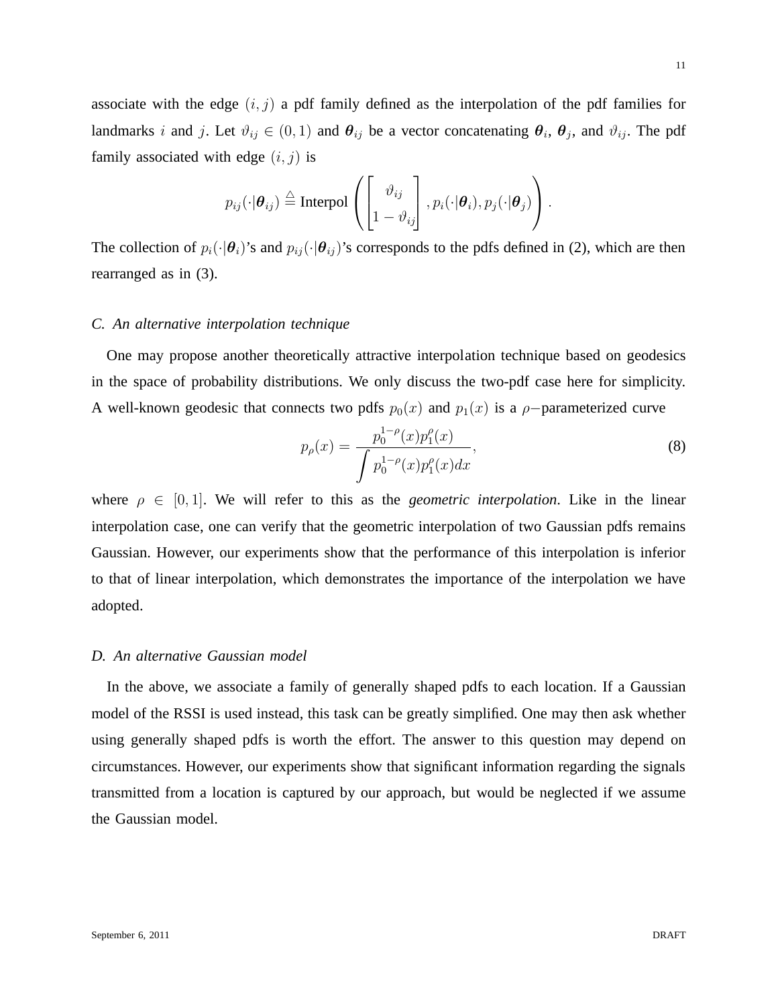associate with the edge  $(i, j)$  a pdf family defined as the interpolation of the pdf families for landmarks i and j. Let  $\vartheta_{ij} \in (0,1)$  and  $\theta_{ij}$  be a vector concatenating  $\theta_i$ ,  $\theta_j$ , and  $\vartheta_{ij}$ . The pdf family associated with edge  $(i, j)$  is

$$
p_{ij}(\cdot | \boldsymbol{\theta}_{ij}) \stackrel{\triangle}{=} \text{Interpol}\left(\begin{bmatrix} \vartheta_{ij} \\ 1 - \vartheta_{ij} \end{bmatrix}, p_i(\cdot | \boldsymbol{\theta}_i), p_j(\cdot | \boldsymbol{\theta}_j)\right).
$$

The collection of  $p_i(\cdot|\theta_i)$ 's and  $p_{ij}(\cdot|\theta_{ij})$ 's corresponds to the pdfs defined in (2), which are then rearranged as in (3).

## *C. An alternative interpolation technique*

One may propose another theoretically attractive interpolation technique based on geodesics in the space of probability distributions. We only discuss the two-pdf case here for simplicity. A well-known geodesic that connects two pdfs  $p_0(x)$  and  $p_1(x)$  is a  $\rho$ -parameterized curve

$$
p_{\rho}(x) = \frac{p_0^{1-\rho}(x)p_1^{\rho}(x)}{\int p_0^{1-\rho}(x)p_1^{\rho}(x)dx},
$$
\n(8)

where  $\rho \in [0, 1]$ . We will refer to this as the *geometric interpolation*. Like in the linear interpolation case, one can verify that the geometric interpolation of two Gaussian pdfs remains Gaussian. However, our experiments show that the performance of this interpolation is inferior to that of linear interpolation, which demonstrates the importance of the interpolation we have adopted.

## *D. An alternative Gaussian model*

In the above, we associate a family of generally shaped pdfs to each location. If a Gaussian model of the RSSI is used instead, this task can be greatly simplified. One may then ask whether using generally shaped pdfs is worth the effort. The answer to this question may depend on circumstances. However, our experiments show that significant information regarding the signals transmitted from a location is captured by our approach, but would be neglected if we assume the Gaussian model.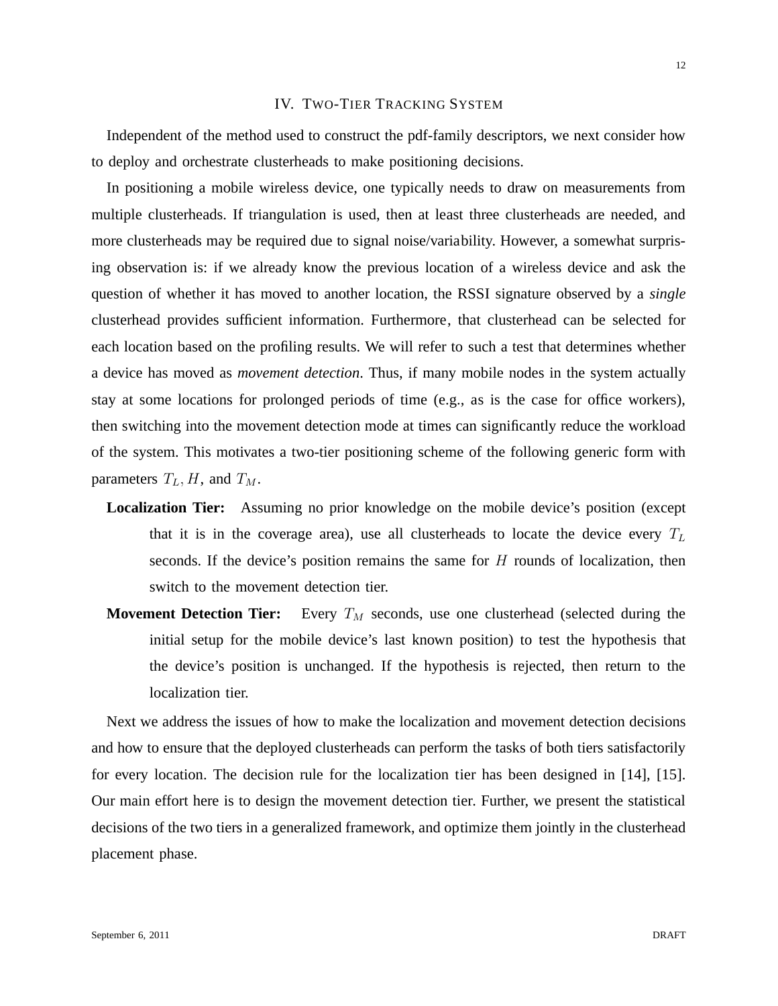## IV. TWO-TIER TRACKING SYSTEM

Independent of the method used to construct the pdf-family descriptors, we next consider how to deploy and orchestrate clusterheads to make positioning decisions.

In positioning a mobile wireless device, one typically needs to draw on measurements from multiple clusterheads. If triangulation is used, then at least three clusterheads are needed, and more clusterheads may be required due to signal noise/variability. However, a somewhat surprising observation is: if we already know the previous location of a wireless device and ask the question of whether it has moved to another location, the RSSI signature observed by a *single* clusterhead provides sufficient information. Furthermore, that clusterhead can be selected for each location based on the profiling results. We will refer to such a test that determines whether a device has moved as *movement detection*. Thus, if many mobile nodes in the system actually stay at some locations for prolonged periods of time (e.g., as is the case for office workers), then switching into the movement detection mode at times can significantly reduce the workload of the system. This motivates a two-tier positioning scheme of the following generic form with parameters  $T_L$ , H, and  $T_M$ .

- **Localization Tier:** Assuming no prior knowledge on the mobile device's position (except that it is in the coverage area), use all clusterheads to locate the device every  $T_L$ seconds. If the device's position remains the same for H rounds of localization, then switch to the movement detection tier.
- **Movement Detection Tier:** Every  $T_M$  seconds, use one clusterhead (selected during the initial setup for the mobile device's last known position) to test the hypothesis that the device's position is unchanged. If the hypothesis is rejected, then return to the localization tier.

Next we address the issues of how to make the localization and movement detection decisions and how to ensure that the deployed clusterheads can perform the tasks of both tiers satisfactorily for every location. The decision rule for the localization tier has been designed in [14], [15]. Our main effort here is to design the movement detection tier. Further, we present the statistical decisions of the two tiers in a generalized framework, and optimize them jointly in the clusterhead placement phase.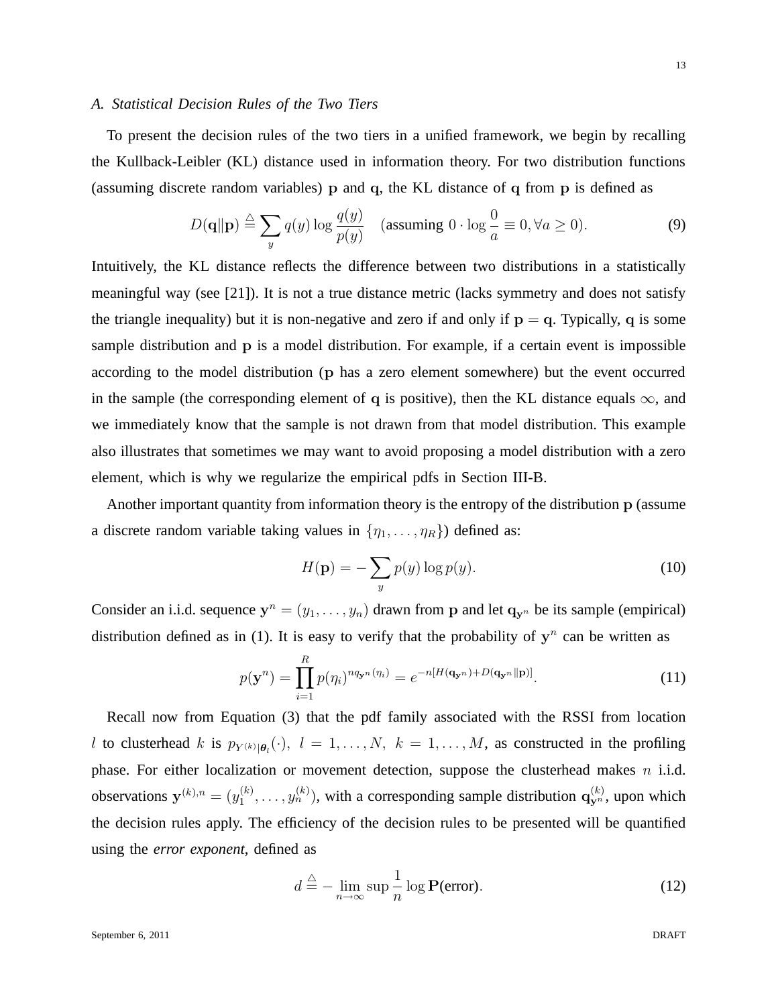#### *A. Statistical Decision Rules of the Two Tiers*

To present the decision rules of the two tiers in a unified framework, we begin by recalling the Kullback-Leibler (KL) distance used in information theory. For two distribution functions (assuming discrete random variables) p and q, the KL distance of q from p is defined as

$$
D(\mathbf{q}||\mathbf{p}) \stackrel{\triangle}{=} \sum_{y} q(y) \log \frac{q(y)}{p(y)} \quad \text{(assuming } 0 \cdot \log \frac{0}{a} \equiv 0, \forall a \ge 0\text{)}.
$$

Intuitively, the KL distance reflects the difference between two distributions in a statistically meaningful way (see [21]). It is not a true distance metric (lacks symmetry and does not satisfy the triangle inequality) but it is non-negative and zero if and only if  $p = q$ . Typically, q is some sample distribution and p is a model distribution. For example, if a certain event is impossible according to the model distribution (p has a zero element somewhere) but the event occurred in the sample (the corresponding element of q is positive), then the KL distance equals  $\infty$ , and we immediately know that the sample is not drawn from that model distribution. This example also illustrates that sometimes we may want to avoid proposing a model distribution with a zero element, which is why we regularize the empirical pdfs in Section III-B.

Another important quantity from information theory is the entropy of the distribution p (assume a discrete random variable taking values in  $\{\eta_1, \dots, \eta_R\}$  defined as:

$$
H(\mathbf{p}) = -\sum_{y} p(y) \log p(y). \tag{10}
$$

Consider an i.i.d. sequence  $y^n = (y_1, \dots, y_n)$  drawn from p and let  $q_{y^n}$  be its sample (empirical) distribution defined as in (1). It is easy to verify that the probability of  $y^n$  can be written as

$$
p(\mathbf{y}^n) = \prod_{i=1}^R p(\eta_i)^{n q_{\mathbf{y}^n}(\eta_i)} = e^{-n[H(\mathbf{q}_{\mathbf{y}^n}) + D(\mathbf{q}_{\mathbf{y}^n} \|\mathbf{p})]}.
$$
 (11)

Recall now from Equation (3) that the pdf family associated with the RSSI from location l to clusterhead k is  $p_{Y^{(k)}|\theta_l}(\cdot), l = 1, ..., N, k = 1, ..., M$ , as constructed in the profiling phase. For either localization or movement detection, suppose the clusterhead makes  $n$  i.i.d. observations  $y^{(k),n} = (y_1^{(k)})$  $\mathbf{q}_{\mathbf{y}^n}^{(k)}, \ldots, \mathbf{y}_{n}^{(k)}$ ), with a corresponding sample distribution  $\mathbf{q}_{\mathbf{y}^n}^{(k)}$ , upon which the decision rules apply. The efficiency of the decision rules to be presented will be quantified using the *error exponent*, defined as

$$
d \stackrel{\triangle}{=} - \lim_{n \to \infty} \sup \frac{1}{n} \log \mathbf{P}(\text{error}). \tag{12}
$$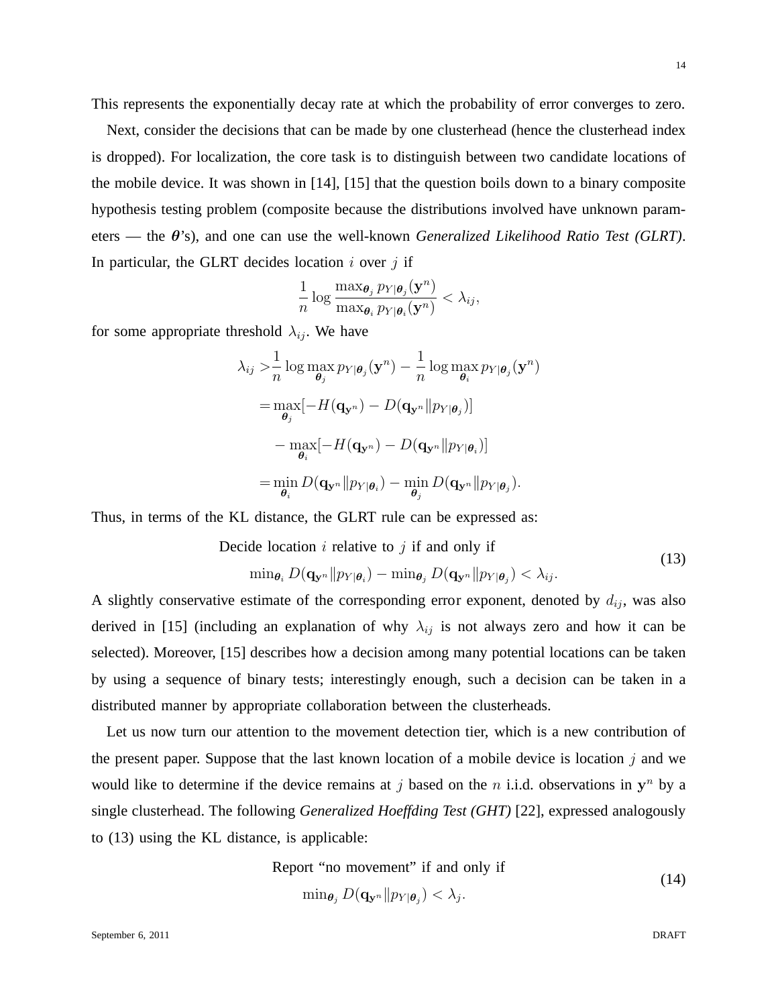This represents the exponentially decay rate at which the probability of error converges to zero.

Next, consider the decisions that can be made by one clusterhead (hence the clusterhead index is dropped). For localization, the core task is to distinguish between two candidate locations of the mobile device. It was shown in [14], [15] that the question boils down to a binary composite hypothesis testing problem (composite because the distributions involved have unknown parameters — the θ's), and one can use the well-known *Generalized Likelihood Ratio Test (GLRT)*. In particular, the GLRT decides location  $i$  over  $j$  if

$$
\frac{1}{n}\log \frac{\max_{\boldsymbol{\theta}_j} p_{Y|\boldsymbol{\theta}_j}(\mathbf{y}^n)}{\max_{\boldsymbol{\theta}_i} p_{Y|\boldsymbol{\theta}_i}(\mathbf{y}^n)} < \lambda_{ij},
$$

for some appropriate threshold  $\lambda_{ij}$ . We have

$$
\lambda_{ij} > \frac{1}{n} \log \max_{\boldsymbol{\theta}_j} p_{Y|\boldsymbol{\theta}_j}(\mathbf{y}^n) - \frac{1}{n} \log \max_{\boldsymbol{\theta}_i} p_{Y|\boldsymbol{\theta}_j}(\mathbf{y}^n)
$$
  
= 
$$
\max_{\boldsymbol{\theta}_j} [-H(\mathbf{q}_{\mathbf{y}^n}) - D(\mathbf{q}_{\mathbf{y}^n} || p_{Y|\boldsymbol{\theta}_j})]
$$
  
- 
$$
\max_{\boldsymbol{\theta}_i} [-H(\mathbf{q}_{\mathbf{y}^n}) - D(\mathbf{q}_{\mathbf{y}^n} || p_{Y|\boldsymbol{\theta}_i})]
$$
  
= 
$$
\min_{\boldsymbol{\theta}_i} D(\mathbf{q}_{\mathbf{y}^n} || p_{Y|\boldsymbol{\theta}_i}) - \min_{\boldsymbol{\theta}_j} D(\mathbf{q}_{\mathbf{y}^n} || p_{Y|\boldsymbol{\theta}_j}).
$$

Thus, in terms of the KL distance, the GLRT rule can be expressed as:

Decide location  $i$  relative to  $j$  if and only if (13)

$$
\min_{\boldsymbol{\theta}_i} D(\mathbf{q}_{\mathbf{y}^n} \| p_{Y|\boldsymbol{\theta}_i}) - \min_{\boldsymbol{\theta}_j} D(\mathbf{q}_{\mathbf{y}^n} \| p_{Y|\boldsymbol{\theta}_j}) < \lambda_{ij}.
$$

A slightly conservative estimate of the corresponding error exponent, denoted by  $d_{ij}$ , was also derived in [15] (including an explanation of why  $\lambda_{ij}$  is not always zero and how it can be selected). Moreover, [15] describes how a decision among many potential locations can be taken by using a sequence of binary tests; interestingly enough, such a decision can be taken in a distributed manner by appropriate collaboration between the clusterheads.

Let us now turn our attention to the movement detection tier, which is a new contribution of the present paper. Suppose that the last known location of a mobile device is location  $j$  and we would like to determine if the device remains at j based on the n i.i.d. observations in  $y^n$  by a single clusterhead. The following *Generalized Hoeffding Test (GHT)* [22], expressed analogously to (13) using the KL distance, is applicable:

> Report "no movement" if and only if (14)

$$
\min_{\boldsymbol{\theta}_j} D(\mathbf{q}_{\mathbf{y}^n} \| p_{Y|\boldsymbol{\theta}_j}) < \lambda_j.
$$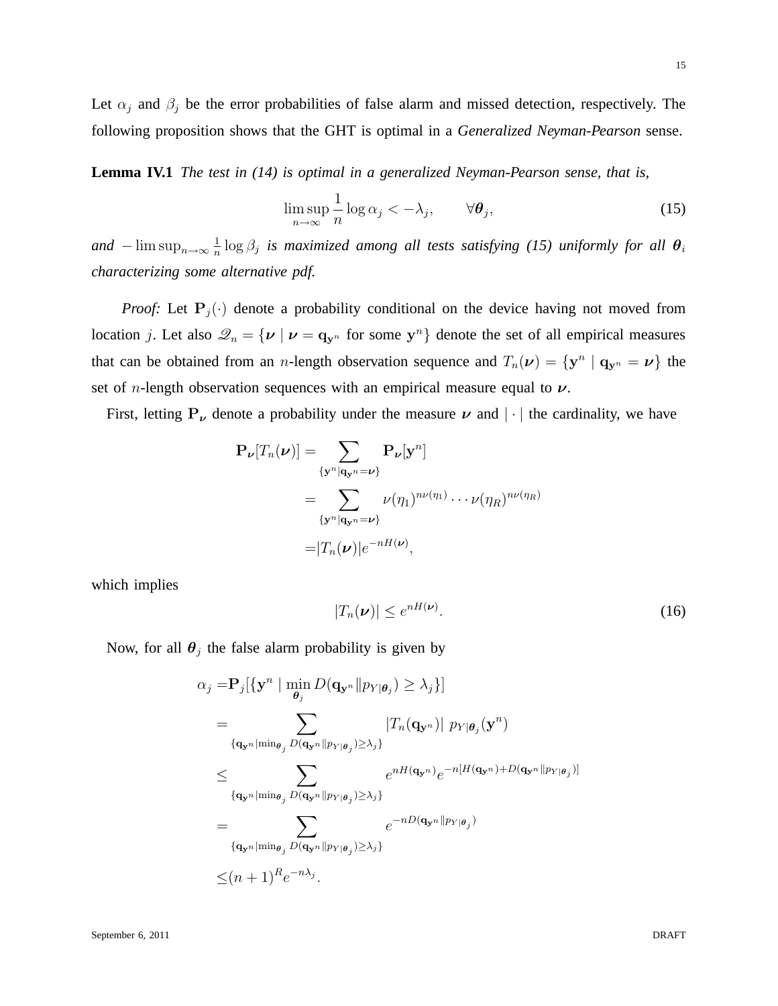Let  $\alpha_j$  and  $\beta_j$  be the error probabilities of false alarm and missed detection, respectively. The following proposition shows that the GHT is optimal in a *Generalized Neyman-Pearson* sense.

**Lemma IV.1** *The test in (14) is optimal in a generalized Neyman-Pearson sense, that is,*

$$
\limsup_{n \to \infty} \frac{1}{n} \log \alpha_j < -\lambda_j, \qquad \forall \boldsymbol{\theta}_j,\tag{15}
$$

*and*  $-\limsup_{n\to\infty}\frac{1}{n}$  $\frac{1}{n} \log \beta_j$  is maximized among all tests satisfying (15) uniformly for all  $\boldsymbol{\theta}_i$ *characterizing some alternative pdf.*

*Proof:* Let  $P_j(\cdot)$  denote a probability conditional on the device having not moved from location j. Let also  $\mathcal{Q}_n = \{ \nu \mid \nu = \mathbf{q}_{\mathbf{y}^n} \text{ for some } \mathbf{y}^n \}$  denote the set of all empirical measures that can be obtained from an *n*-length observation sequence and  $T_n(\nu) = \{y^n \mid q_{y^n} = \nu\}$  the set of *n*-length observation sequences with an empirical measure equal to  $\nu$ .

First, letting  $P_{\nu}$  denote a probability under the measure  $\nu$  and  $|\cdot|$  the cardinality, we have

$$
\mathbf{P}_{\nu}[T_n(\nu)] = \sum_{\{\mathbf{y}^n | \mathbf{q}_{\mathbf{y}^n} = \nu\}} \mathbf{P}_{\nu}[\mathbf{y}^n]
$$
  
= 
$$
\sum_{\{\mathbf{y}^n | \mathbf{q}_{\mathbf{y}^n} = \nu\}} \nu(\eta_1)^{n\nu(\eta_1)} \cdots \nu(\eta_R)^{n\nu(\eta_R)}
$$
  
= 
$$
|T_n(\nu)|e^{-nH(\nu)},
$$

which implies

$$
|T_n(\nu)| \le e^{nH(\nu)}.\tag{16}
$$

Now, for all  $\theta_j$  the false alarm probability is given by

$$
\alpha_j = \mathbf{P}_j[\{\mathbf{y}^n \mid \min_{\theta_j} D(\mathbf{q}_{\mathbf{y}^n} || p_{Y|\theta_j}) \ge \lambda_j\}]
$$
\n
$$
= \sum_{\{\mathbf{q}_{\mathbf{y}^n} | \min_{\theta_j} D(\mathbf{q}_{\mathbf{y}^n} || p_{Y|\theta_j}) \ge \lambda_j\}} |T_n(\mathbf{q}_{\mathbf{y}^n})| p_{Y|\theta_j}(\mathbf{y}^n)
$$
\n
$$
\le \sum_{\{\mathbf{q}_{\mathbf{y}^n} | \min_{\theta_j} D(\mathbf{q}_{\mathbf{y}^n} || p_{Y|\theta_j}) \ge \lambda_j\}} e^{nH(\mathbf{q}_{\mathbf{y}^n})} e^{-n[H(\mathbf{q}_{\mathbf{y}^n}) + D(\mathbf{q}_{\mathbf{y}^n} || p_{Y|\theta_j})]}
$$
\n
$$
= \sum_{\{\mathbf{q}_{\mathbf{y}^n} | \min_{\theta_j} D(\mathbf{q}_{\mathbf{y}^n} || p_{Y|\theta_j}) \ge \lambda_j\}} e^{-nD(\mathbf{q}_{\mathbf{y}^n} || p_{Y|\theta_j})}
$$
\n
$$
\le (n+1)^R e^{-n\lambda_j}.
$$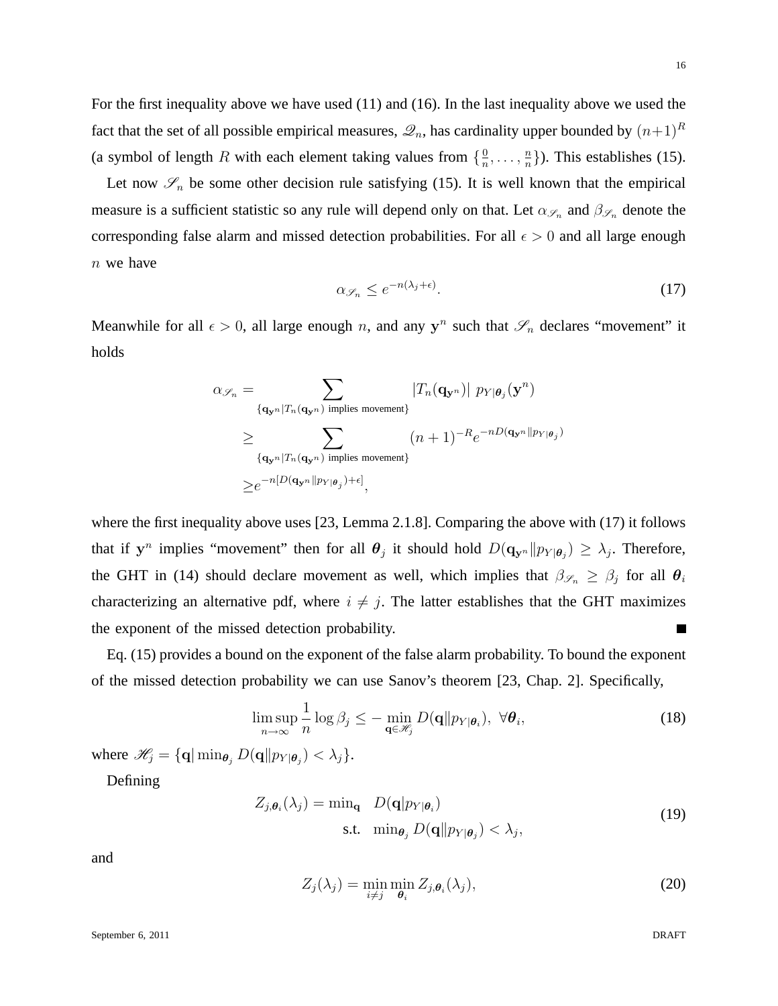For the first inequality above we have used (11) and (16). In the last inequality above we used the fact that the set of all possible empirical measures,  $\mathcal{Q}_n$ , has cardinality upper bounded by  $(n+1)^R$ (a symbol of length R with each element taking values from  $\{\frac{0}{n}\}$  $\frac{0}{n}, \ldots, \frac{n}{n}$  $\frac{n}{n}$ . This establishes (15).

Let now  $\mathscr{S}_n$  be some other decision rule satisfying (15). It is well known that the empirical measure is a sufficient statistic so any rule will depend only on that. Let  $\alpha_{\mathscr{S}_n}$  and  $\beta_{\mathscr{S}_n}$  denote the corresponding false alarm and missed detection probabilities. For all  $\epsilon > 0$  and all large enough  $n$  we have

$$
\alpha_{\mathscr{S}_n} \le e^{-n(\lambda_j + \epsilon)}.\tag{17}
$$

Meanwhile for all  $\epsilon > 0$ , all large enough n, and any  $y^n$  such that  $\mathscr{S}_n$  declares "movement" it holds

$$
\alpha_{\mathscr{S}_n} = \sum_{\{\mathbf{q}_{\mathbf{y}^n} | T_n(\mathbf{q}_{\mathbf{y}^n}) \text{ implies movement}\}} |T_n(\mathbf{q}_{\mathbf{y}^n})| p_{Y|\theta_j}(\mathbf{y}^n)
$$
  
\n
$$
\geq \sum_{\{\mathbf{q}_{\mathbf{y}^n} | T_n(\mathbf{q}_{\mathbf{y}^n}) \text{ implies movement}\}} (n+1)^{-R} e^{-nD(\mathbf{q}_{\mathbf{y}^n} || p_{Y|\theta_j})}
$$
  
\n
$$
\geq e^{-n[D(\mathbf{q}_{\mathbf{y}^n} || p_{Y|\theta_j}) + \epsilon]},
$$

where the first inequality above uses [23, Lemma 2.1.8]. Comparing the above with (17) it follows that if  $y^n$  implies "movement" then for all  $\theta_j$  it should hold  $D(q_{y^n}||p_{Y|\theta_j}) \geq \lambda_j$ . Therefore, the GHT in (14) should declare movement as well, which implies that  $\beta_{\mathscr{S}_n} \geq \beta_j$  for all  $\theta_i$ characterizing an alternative pdf, where  $i \neq j$ . The latter establishes that the GHT maximizes the exponent of the missed detection probability.  $\blacksquare$ 

Eq. (15) provides a bound on the exponent of the false alarm probability. To bound the exponent of the missed detection probability we can use Sanov's theorem [23, Chap. 2]. Specifically,

$$
\limsup_{n \to \infty} \frac{1}{n} \log \beta_j \le - \min_{\mathbf{q} \in \mathcal{H}_j} D(\mathbf{q} \| p_{Y | \boldsymbol{\theta}_i}), \ \forall \boldsymbol{\theta}_i,
$$
\n(18)

where  $\mathcal{H}_j = {\mathbf{q}} | \min_{\boldsymbol{\theta}_j} D({\mathbf{q}} \| p_{Y | \boldsymbol{\theta}_j}) < \lambda_j$ .

Defining

$$
Z_{j,\theta_i}(\lambda_j) = \min_{\mathbf{q}} D(\mathbf{q}|p_{Y|\theta_i})
$$
  
s.t. 
$$
\min_{\theta_j} D(\mathbf{q}||p_{Y|\theta_j}) < \lambda_j,
$$
 (19)

and

$$
Z_j(\lambda_j) = \min_{i \neq j} \min_{\theta_i} Z_{j,\theta_i}(\lambda_j), \qquad (20)
$$

September 6, 2011 DRAFT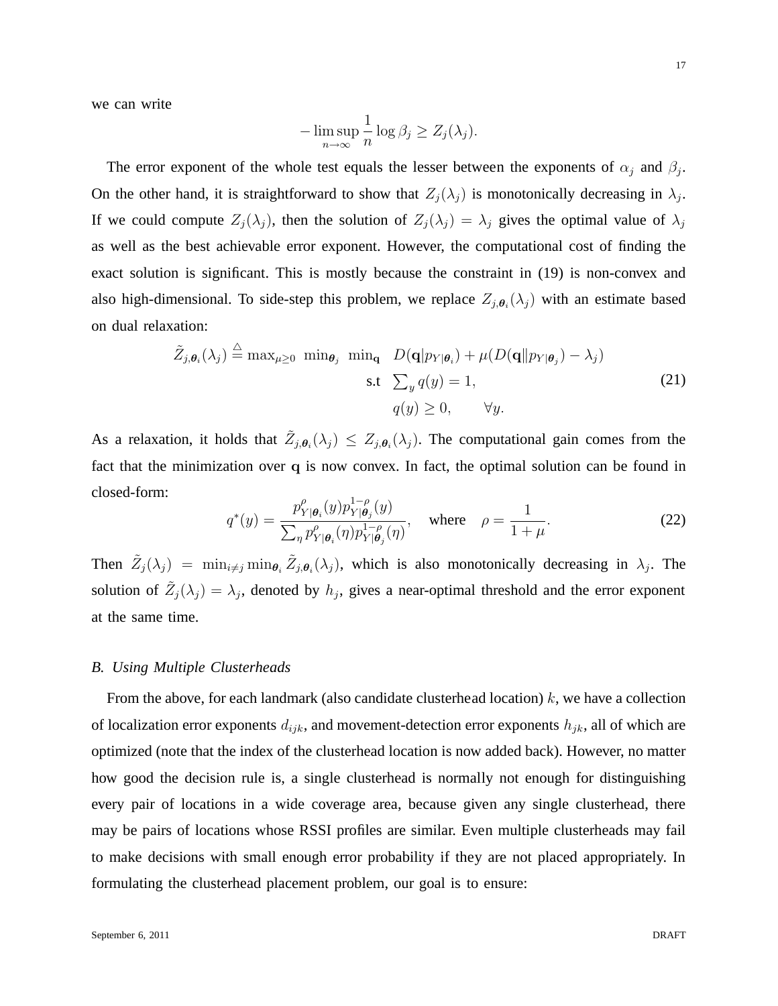we can write

$$
-\limsup_{n\to\infty}\frac{1}{n}\log\beta_j\geq Z_j(\lambda_j).
$$

The error exponent of the whole test equals the lesser between the exponents of  $\alpha_j$  and  $\beta_j$ . On the other hand, it is straightforward to show that  $Z_j(\lambda_j)$  is monotonically decreasing in  $\lambda_j$ . If we could compute  $Z_j(\lambda_j)$ , then the solution of  $Z_j(\lambda_j) = \lambda_j$  gives the optimal value of  $\lambda_j$ as well as the best achievable error exponent. However, the computational cost of finding the exact solution is significant. This is mostly because the constraint in (19) is non-convex and also high-dimensional. To side-step this problem, we replace  $Z_{j,\theta_i}(\lambda_j)$  with an estimate based on dual relaxation:

$$
\tilde{Z}_{j,\theta_i}(\lambda_j) \stackrel{\triangle}{=} \max_{\mu \ge 0} \min_{\theta_j} \min_{\mathbf{q}} D(\mathbf{q}|p_{Y|\theta_i}) + \mu(D(\mathbf{q}||p_{Y|\theta_j}) - \lambda_j)
$$
\n
$$
\text{s.t } \sum_y q(y) = 1,
$$
\n
$$
q(y) \ge 0, \quad \forall y.
$$
\n(21)

As a relaxation, it holds that  $\tilde{Z}_{j,\theta_i}(\lambda_j) \leq Z_{j,\theta_i}(\lambda_j)$ . The computational gain comes from the fact that the minimization over q is now convex. In fact, the optimal solution can be found in closed-form:

$$
q^*(y) = \frac{p_{Y|\theta_i}^{\rho}(y)p_{Y|\theta_j}^{1-\rho}(y)}{\sum_{\eta} p_{Y|\theta_i}^{\rho}(\eta)p_{Y|\theta_j}^{1-\rho}(\eta)}, \text{ where } \rho = \frac{1}{1+\mu}.
$$
 (22)

Then  $\tilde{Z}_j(\lambda_j) = \min_{i \neq j} \min_{\theta_i} \tilde{Z}_{j,\theta_i}(\lambda_j)$ , which is also monotonically decreasing in  $\lambda_j$ . The solution of  $\tilde{Z}_j(\lambda_j) = \lambda_j$ , denoted by  $h_j$ , gives a near-optimal threshold and the error exponent at the same time.

#### *B. Using Multiple Clusterheads*

From the above, for each landmark (also candidate clusterhead location)  $k$ , we have a collection of localization error exponents  $d_{ijk}$ , and movement-detection error exponents  $h_{jk}$ , all of which are optimized (note that the index of the clusterhead location is now added back). However, no matter how good the decision rule is, a single clusterhead is normally not enough for distinguishing every pair of locations in a wide coverage area, because given any single clusterhead, there may be pairs of locations whose RSSI profiles are similar. Even multiple clusterheads may fail to make decisions with small enough error probability if they are not placed appropriately. In formulating the clusterhead placement problem, our goal is to ensure: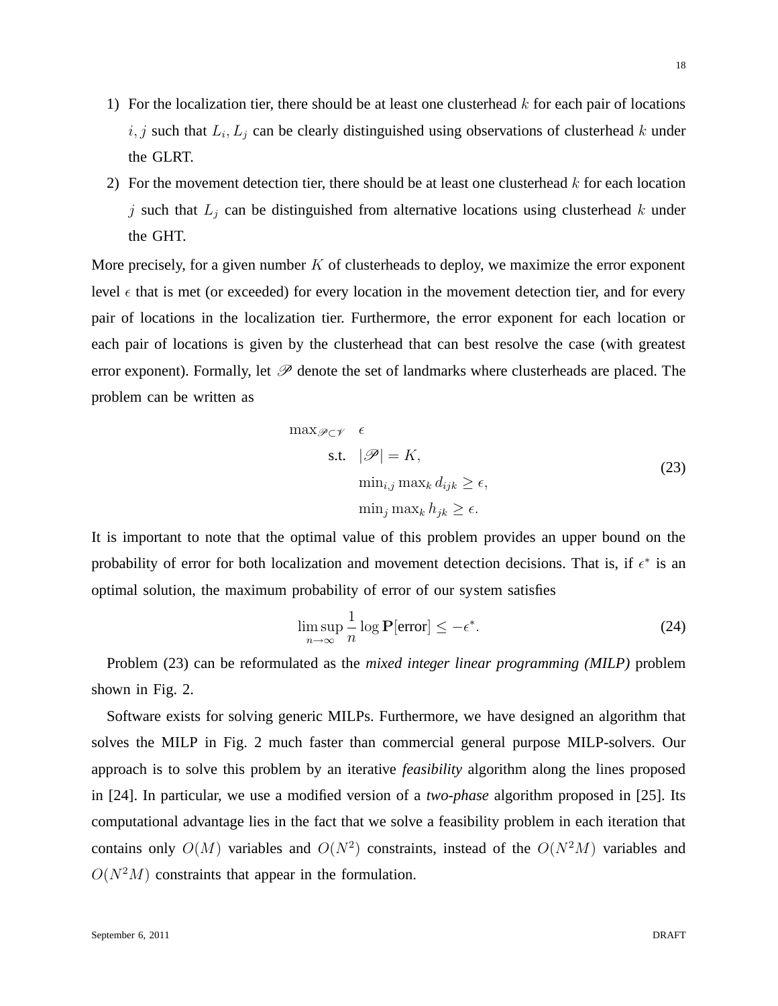- 1) For the localization tier, there should be at least one clusterhead  $k$  for each pair of locations  $i, j$  such that  $L_i, L_j$  can be clearly distinguished using observations of clusterhead k under the GLRT.
- 2) For the movement detection tier, there should be at least one clusterhead  $k$  for each location j such that  $L_j$  can be distinguished from alternative locations using clusterhead k under the GHT.

More precisely, for a given number  $K$  of clusterheads to deploy, we maximize the error exponent level  $\epsilon$  that is met (or exceeded) for every location in the movement detection tier, and for every pair of locations in the localization tier. Furthermore, the error exponent for each location or each pair of locations is given by the clusterhead that can best resolve the case (with greatest error exponent). Formally, let  $\mathscr P$  denote the set of landmarks where clusterheads are placed. The problem can be written as

$$
\max_{\mathscr{P}\subset\mathscr{V}} \epsilon
$$
  
s.t.  $|\mathscr{P}| = K$ ,  

$$
\min_{i,j} \max_{k} d_{ijk} \ge \epsilon
$$
,  

$$
\min_{j} \max_{k} h_{jk} \ge \epsilon.
$$
 (23)

It is important to note that the optimal value of this problem provides an upper bound on the probability of error for both localization and movement detection decisions. That is, if  $\epsilon^*$  is an optimal solution, the maximum probability of error of our system satisfies

$$
\limsup_{n \to \infty} \frac{1}{n} \log \mathbf{P}[\text{error}] \le -\epsilon^*.
$$
\n(24)

Problem (23) can be reformulated as the *mixed integer linear programming (MILP)* problem shown in Fig. 2.

Software exists for solving generic MILPs. Furthermore, we have designed an algorithm that solves the MILP in Fig. 2 much faster than commercial general purpose MILP-solvers. Our approach is to solve this problem by an iterative *feasibility* algorithm along the lines proposed in [24]. In particular, we use a modified version of a *two-phase* algorithm proposed in [25]. Its computational advantage lies in the fact that we solve a feasibility problem in each iteration that contains only  $O(M)$  variables and  $O(N^2)$  constraints, instead of the  $O(N^2M)$  variables and  $O(N^2M)$  constraints that appear in the formulation.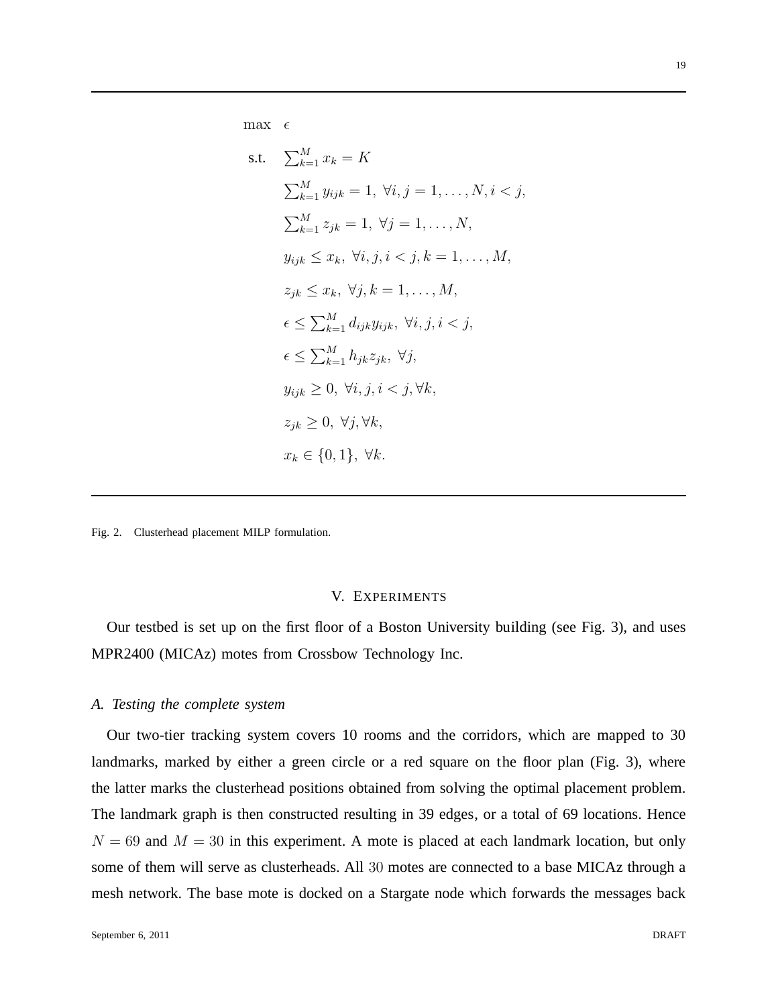max  $\epsilon$ 

s.t. 
$$
\sum_{k=1}^{M} x_k = K
$$

$$
\sum_{k=1}^{M} y_{ijk} = 1, \forall i, j = 1, ..., N, i < j,
$$

$$
\sum_{k=1}^{M} z_{jk} = 1, \forall j = 1, ..., N,
$$

$$
y_{ijk} \leq x_k, \forall i, j, i < j, k = 1, ..., M,
$$

$$
z_{jk} \leq x_k, \forall j, k = 1, ..., M,
$$

$$
\epsilon \leq \sum_{k=1}^{M} d_{ijk} y_{ijk}, \forall i, j, i < j,
$$

$$
\epsilon \leq \sum_{k=1}^{M} h_{jk} z_{jk}, \forall j,
$$

$$
y_{ijk} \geq 0, \forall i, j, i < j, \forall k,
$$

$$
z_{jk} \geq 0, \forall j, \forall k,
$$

$$
x_k \in \{0, 1\}, \forall k.
$$

Fig. 2. Clusterhead placement MILP formulation.

## V. EXPERIMENTS

Our testbed is set up on the first floor of a Boston University building (see Fig. 3), and uses MPR2400 (MICAz) motes from Crossbow Technology Inc.

#### *A. Testing the complete system*

Our two-tier tracking system covers 10 rooms and the corridors, which are mapped to 30 landmarks, marked by either a green circle or a red square on the floor plan (Fig. 3), where the latter marks the clusterhead positions obtained from solving the optimal placement problem. The landmark graph is then constructed resulting in 39 edges, or a total of 69 locations. Hence  $N = 69$  and  $M = 30$  in this experiment. A mote is placed at each landmark location, but only some of them will serve as clusterheads. All 30 motes are connected to a base MICAz through a mesh network. The base mote is docked on a Stargate node which forwards the messages back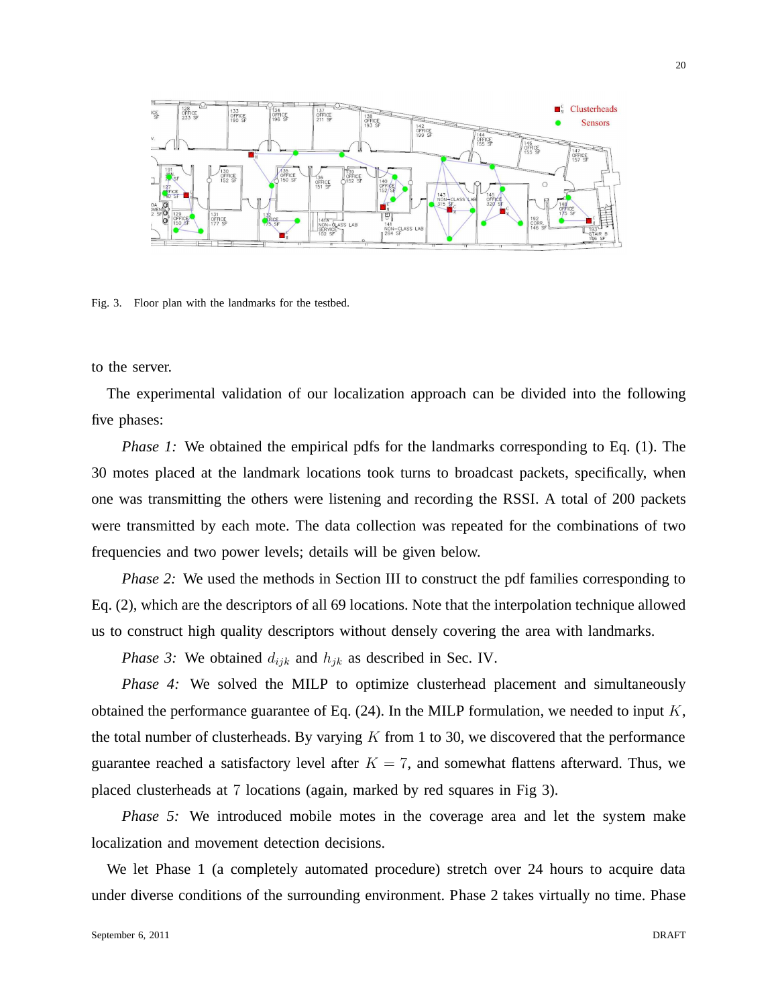

Fig. 3. Floor plan with the landmarks for the testbed.

to the server.

The experimental validation of our localization approach can be divided into the following five phases:

*Phase 1:* We obtained the empirical pdfs for the landmarks corresponding to Eq. (1). The 30 motes placed at the landmark locations took turns to broadcast packets, specifically, when one was transmitting the others were listening and recording the RSSI. A total of 200 packets were transmitted by each mote. The data collection was repeated for the combinations of two frequencies and two power levels; details will be given below.

*Phase 2:* We used the methods in Section III to construct the pdf families corresponding to Eq. (2), which are the descriptors of all 69 locations. Note that the interpolation technique allowed us to construct high quality descriptors without densely covering the area with landmarks.

*Phase 3:* We obtained  $d_{ijk}$  and  $h_{jk}$  as described in Sec. IV.

*Phase 4:* We solved the MILP to optimize clusterhead placement and simultaneously obtained the performance guarantee of Eq.  $(24)$ . In the MILP formulation, we needed to input K, the total number of clusterheads. By varying  $K$  from 1 to 30, we discovered that the performance guarantee reached a satisfactory level after  $K = 7$ , and somewhat flattens afterward. Thus, we placed clusterheads at 7 locations (again, marked by red squares in Fig 3).

*Phase 5:* We introduced mobile motes in the coverage area and let the system make localization and movement detection decisions.

We let Phase 1 (a completely automated procedure) stretch over 24 hours to acquire data under diverse conditions of the surrounding environment. Phase 2 takes virtually no time. Phase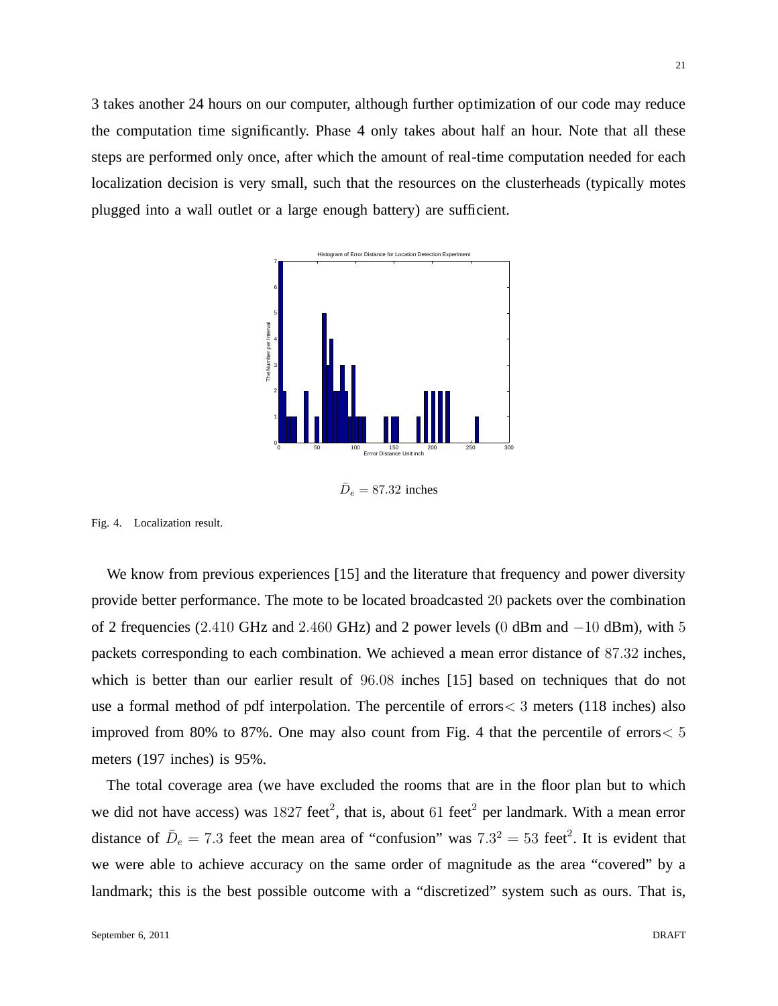3 takes another 24 hours on our computer, although further optimization of our code may reduce the computation time significantly. Phase 4 only takes about half an hour. Note that all these steps are performed only once, after which the amount of real-time computation needed for each localization decision is very small, such that the resources on the clusterheads (typically motes plugged into a wall outlet or a large enough battery) are sufficient.



 $\bar{D}_e = 87.32$  inches

#### Fig. 4. Localization result.

We know from previous experiences [15] and the literature that frequency and power diversity provide better performance. The mote to be located broadcasted 20 packets over the combination of 2 frequencies (2.410 GHz and 2.460 GHz) and 2 power levels (0 dBm and −10 dBm), with 5 packets corresponding to each combination. We achieved a mean error distance of 87.32 inches, which is better than our earlier result of 96.08 inches [15] based on techniques that do not use a formal method of pdf interpolation. The percentile of errors< 3 meters (118 inches) also improved from 80% to 87%. One may also count from Fig. 4 that the percentile of errors< 5 meters (197 inches) is 95%.

The total coverage area (we have excluded the rooms that are in the floor plan but to which we did not have access) was  $1827 \text{ feet}^2$ , that is, about 61 feet<sup>2</sup> per landmark. With a mean error distance of  $\bar{D}_e = 7.3$  feet the mean area of "confusion" was  $7.3^2 = 53$  feet<sup>2</sup>. It is evident that we were able to achieve accuracy on the same order of magnitude as the area "covered" by a landmark; this is the best possible outcome with a "discretized" system such as ours. That is,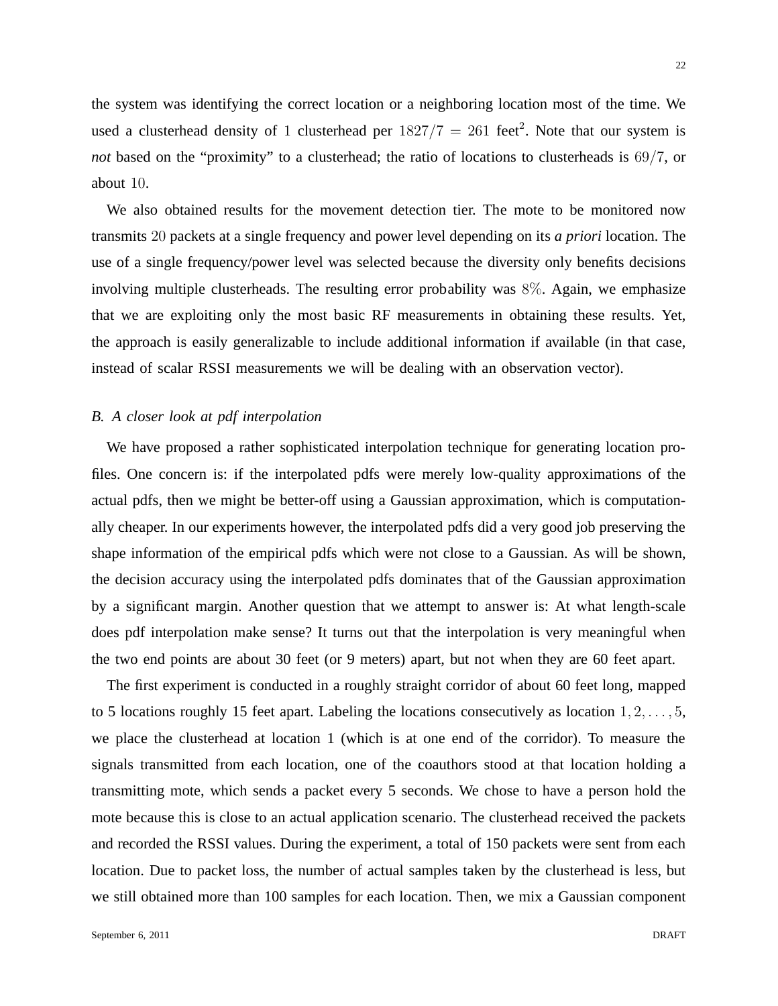the system was identifying the correct location or a neighboring location most of the time. We used a clusterhead density of 1 clusterhead per  $1827/7 = 261$  feet<sup>2</sup>. Note that our system is *not* based on the "proximity" to a clusterhead; the ratio of locations to clusterheads is 69/7, or about 10.

We also obtained results for the movement detection tier. The mote to be monitored now transmits 20 packets at a single frequency and power level depending on its *a priori* location. The use of a single frequency/power level was selected because the diversity only benefits decisions involving multiple clusterheads. The resulting error probability was 8%. Again, we emphasize that we are exploiting only the most basic RF measurements in obtaining these results. Yet, the approach is easily generalizable to include additional information if available (in that case, instead of scalar RSSI measurements we will be dealing with an observation vector).

# *B. A closer look at pdf interpolation*

We have proposed a rather sophisticated interpolation technique for generating location profiles. One concern is: if the interpolated pdfs were merely low-quality approximations of the actual pdfs, then we might be better-off using a Gaussian approximation, which is computationally cheaper. In our experiments however, the interpolated pdfs did a very good job preserving the shape information of the empirical pdfs which were not close to a Gaussian. As will be shown, the decision accuracy using the interpolated pdfs dominates that of the Gaussian approximation by a significant margin. Another question that we attempt to answer is: At what length-scale does pdf interpolation make sense? It turns out that the interpolation is very meaningful when the two end points are about 30 feet (or 9 meters) apart, but not when they are 60 feet apart.

The first experiment is conducted in a roughly straight corridor of about 60 feet long, mapped to 5 locations roughly 15 feet apart. Labeling the locations consecutively as location  $1, 2, \ldots, 5$ , we place the clusterhead at location 1 (which is at one end of the corridor). To measure the signals transmitted from each location, one of the coauthors stood at that location holding a transmitting mote, which sends a packet every 5 seconds. We chose to have a person hold the mote because this is close to an actual application scenario. The clusterhead received the packets and recorded the RSSI values. During the experiment, a total of 150 packets were sent from each location. Due to packet loss, the number of actual samples taken by the clusterhead is less, but we still obtained more than 100 samples for each location. Then, we mix a Gaussian component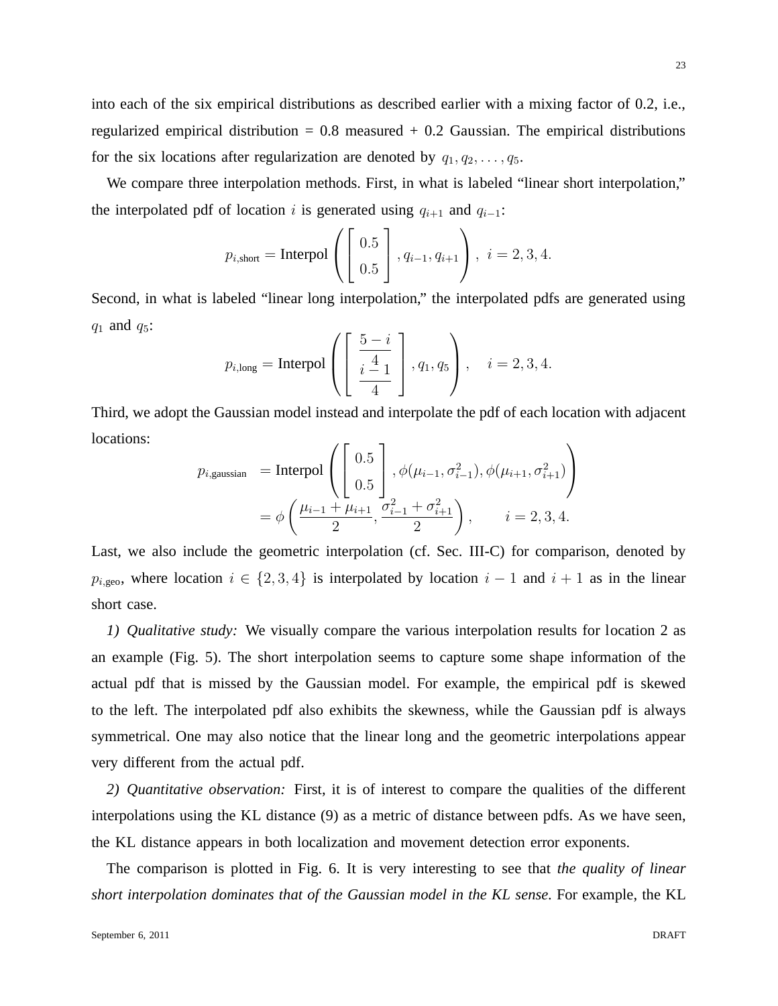We compare three interpolation methods. First, in what is labeled "linear short interpolation," the interpolated pdf of location i is generated using  $q_{i+1}$  and  $q_{i-1}$ :

$$
p_{i,\text{short}} = \text{Interpol}\left(\begin{bmatrix} 0.5\\ 0.5 \end{bmatrix}, q_{i-1}, q_{i+1}\right), i = 2, 3, 4.
$$

Second, in what is labeled "linear long interpolation," the interpolated pdfs are generated using  $q_1$  and  $q_5$ :

$$
p_{i,\text{long}} = \text{Interpol}\left(\left[\begin{array}{c} \frac{5-i}{4} \\ \frac{i-1}{4} \end{array}\right], q_1, q_5\right), \quad i = 2, 3, 4.
$$

Third, we adopt the Gaussian model instead and interpolate the pdf of each location with adjacent locations:  $\epsilon$ 

$$
p_{i,\text{gaussian}} = \text{Interpol}\left(\begin{bmatrix} 0.5\\0.5\\0.5 \end{bmatrix}, \phi(\mu_{i-1}, \sigma_{i-1}^2), \phi(\mu_{i+1}, \sigma_{i+1}^2) \right)
$$
  
=  $\phi\left(\frac{\mu_{i-1} + \mu_{i+1}}{2}, \frac{\sigma_{i-1}^2 + \sigma_{i+1}^2}{2}\right), \qquad i = 2, 3, 4.$ 

Last, we also include the geometric interpolation (cf. Sec. III-C) for comparison, denoted by  $p_{i,\text{geo}}$ , where location  $i \in \{2,3,4\}$  is interpolated by location  $i-1$  and  $i+1$  as in the linear short case.

*1) Qualitative study:* We visually compare the various interpolation results for location 2 as an example (Fig. 5). The short interpolation seems to capture some shape information of the actual pdf that is missed by the Gaussian model. For example, the empirical pdf is skewed to the left. The interpolated pdf also exhibits the skewness, while the Gaussian pdf is always symmetrical. One may also notice that the linear long and the geometric interpolations appear very different from the actual pdf.

*2) Quantitative observation:* First, it is of interest to compare the qualities of the different interpolations using the KL distance (9) as a metric of distance between pdfs. As we have seen, the KL distance appears in both localization and movement detection error exponents.

The comparison is plotted in Fig. 6. It is very interesting to see that *the quality of linear short interpolation dominates that of the Gaussian model in the KL sense*. For example, the KL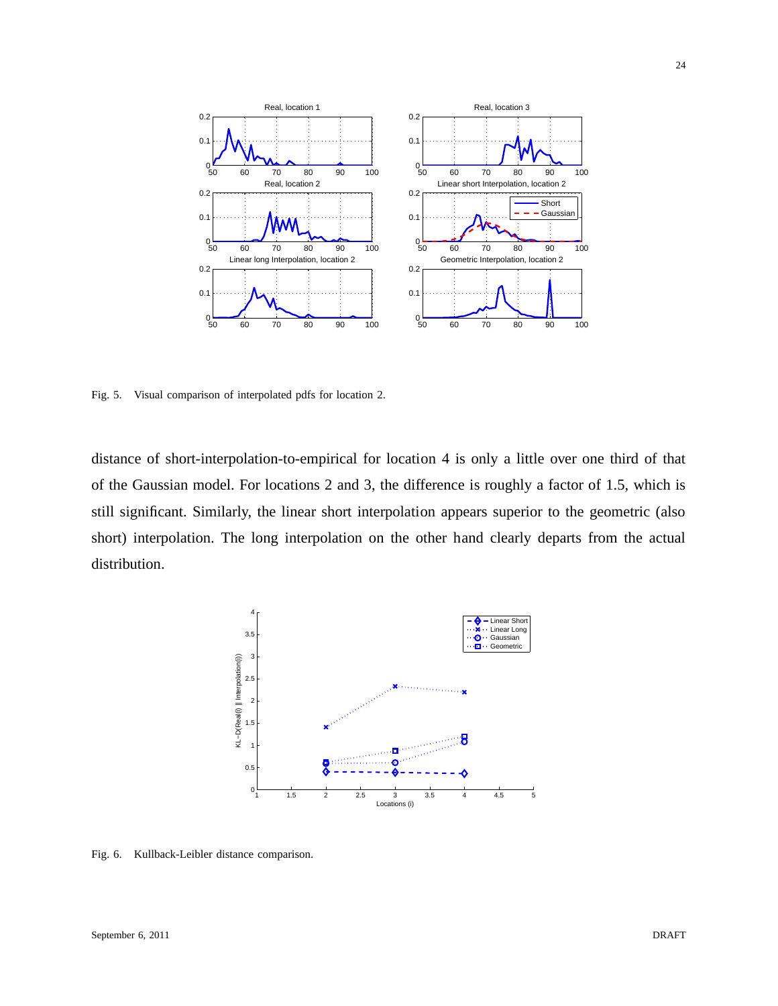

Fig. 5. Visual comparison of interpolated pdfs for location 2.

distance of short-interpolation-to-empirical for location 4 is only a little over one third of that of the Gaussian model. For locations 2 and 3, the difference is roughly a factor of 1.5, which is still significant. Similarly, the linear short interpolation appears superior to the geometric (also short) interpolation. The long interpolation on the other hand clearly departs from the actual distribution.



Fig. 6. Kullback-Leibler distance comparison.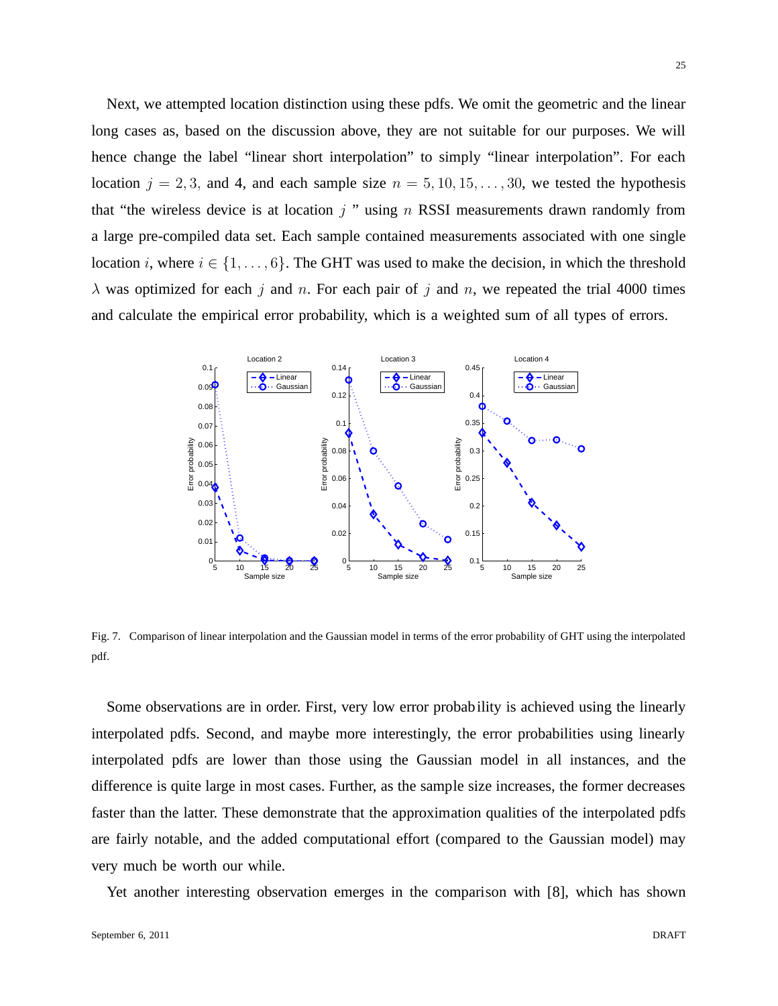Next, we attempted location distinction using these pdfs. We omit the geometric and the linear long cases as, based on the discussion above, they are not suitable for our purposes. We will hence change the label "linear short interpolation" to simply "linear interpolation". For each location  $j = 2, 3$ , and 4, and each sample size  $n = 5, 10, 15, \ldots, 30$ , we tested the hypothesis that "the wireless device is at location  $j$ " using  $n$  RSSI measurements drawn randomly from a large pre-compiled data set. Each sample contained measurements associated with one single location i, where  $i \in \{1, \ldots, 6\}$ . The GHT was used to make the decision, in which the threshold  $\lambda$  was optimized for each j and n. For each pair of j and n, we repeated the trial 4000 times and calculate the empirical error probability, which is a weighted sum of all types of errors.



Fig. 7. Comparison of linear interpolation and the Gaussian model in terms of the error probability of GHT using the interpolated pdf.

Some observations are in order. First, very low error probability is achieved using the linearly interpolated pdfs. Second, and maybe more interestingly, the error probabilities using linearly interpolated pdfs are lower than those using the Gaussian model in all instances, and the difference is quite large in most cases. Further, as the sample size increases, the former decreases faster than the latter. These demonstrate that the approximation qualities of the interpolated pdfs are fairly notable, and the added computational effort (compared to the Gaussian model) may very much be worth our while.

Yet another interesting observation emerges in the comparison with [8], which has shown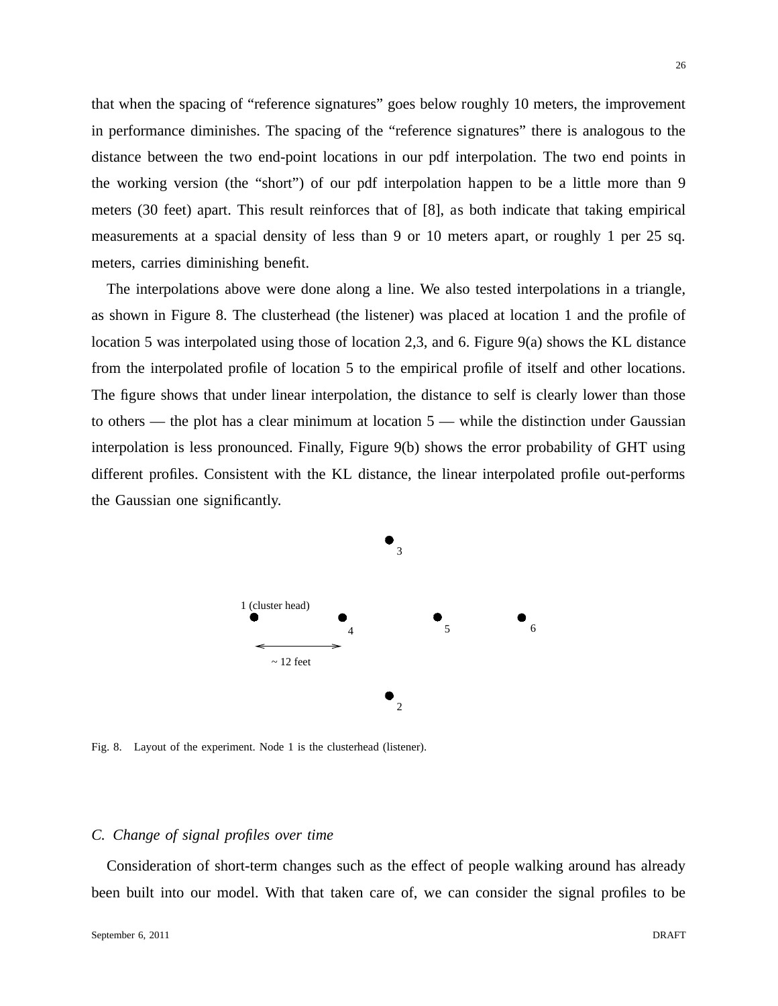that when the spacing of "reference signatures" goes below roughly 10 meters, the improvement in performance diminishes. The spacing of the "reference signatures" there is analogous to the distance between the two end-point locations in our pdf interpolation. The two end points in the working version (the "short") of our pdf interpolation happen to be a little more than 9 meters (30 feet) apart. This result reinforces that of [8], as both indicate that taking empirical measurements at a spacial density of less than 9 or 10 meters apart, or roughly 1 per 25 sq. meters, carries diminishing benefit.

The interpolations above were done along a line. We also tested interpolations in a triangle, as shown in Figure 8. The clusterhead (the listener) was placed at location 1 and the profile of location 5 was interpolated using those of location 2,3, and 6. Figure 9(a) shows the KL distance from the interpolated profile of location 5 to the empirical profile of itself and other locations. The figure shows that under linear interpolation, the distance to self is clearly lower than those to others — the plot has a clear minimum at location 5 — while the distinction under Gaussian interpolation is less pronounced. Finally, Figure 9(b) shows the error probability of GHT using different profiles. Consistent with the KL distance, the linear interpolated profile out-performs the Gaussian one significantly.



Fig. 8. Layout of the experiment. Node 1 is the clusterhead (listener).

#### *C. Change of signal profiles over time*

Consideration of short-term changes such as the effect of people walking around has already been built into our model. With that taken care of, we can consider the signal profiles to be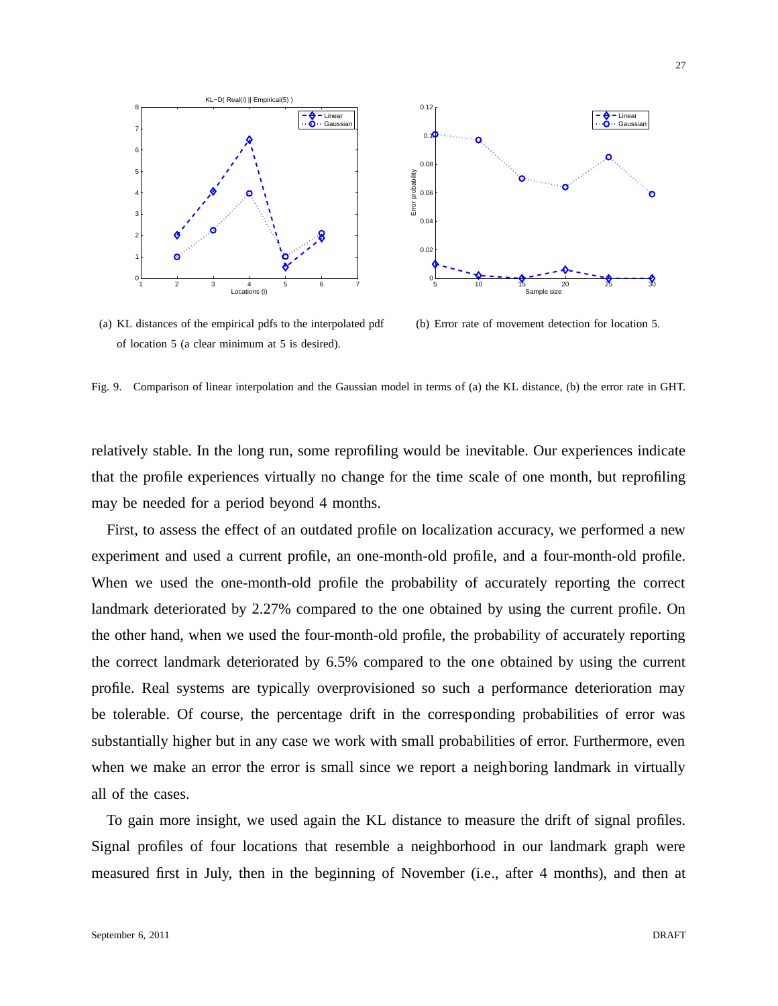

(a) KL distances of the empirical pdfs to the interpolated pdf of location 5 (a clear minimum at 5 is desired).



Fig. 9. Comparison of linear interpolation and the Gaussian model in terms of (a) the KL distance, (b) the error rate in GHT.

relatively stable. In the long run, some reprofiling would be inevitable. Our experiences indicate that the profile experiences virtually no change for the time scale of one month, but reprofiling may be needed for a period beyond 4 months.

First, to assess the effect of an outdated profile on localization accuracy, we performed a new experiment and used a current profile, an one-month-old profile, and a four-month-old profile. When we used the one-month-old profile the probability of accurately reporting the correct landmark deteriorated by 2.27% compared to the one obtained by using the current profile. On the other hand, when we used the four-month-old profile, the probability of accurately reporting the correct landmark deteriorated by 6.5% compared to the one obtained by using the current profile. Real systems are typically overprovisioned so such a performance deterioration may be tolerable. Of course, the percentage drift in the corresponding probabilities of error was substantially higher but in any case we work with small probabilities of error. Furthermore, even when we make an error the error is small since we report a neighboring landmark in virtually all of the cases.

To gain more insight, we used again the KL distance to measure the drift of signal profiles. Signal profiles of four locations that resemble a neighborhood in our landmark graph were measured first in July, then in the beginning of November (i.e., after 4 months), and then at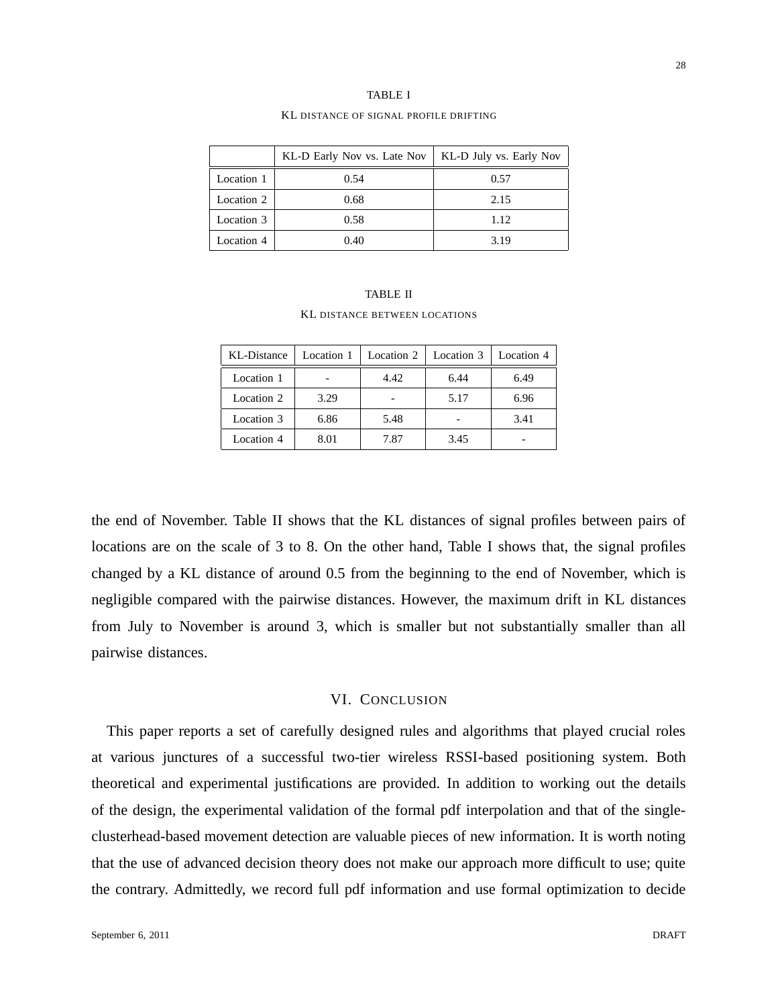| ບ<br>n.<br>۰ |  |
|--------------|--|
|              |  |

| KL DISTANCE OF SIGNAL PROFILE DRIFTING |  |
|----------------------------------------|--|
|----------------------------------------|--|

|            | KL-D Early Nov vs. Late Nov | KL-D July vs. Early Nov |  |
|------------|-----------------------------|-------------------------|--|
| Location 1 | 0.54                        | 0.57                    |  |
| Location 2 | 0.68                        | 2.15                    |  |
| Location 3 | 0.58                        | 1.12                    |  |
| Location 4 | 0.40                        | 3.19                    |  |

# TABLE II KL DISTANCE BETWEEN LOCATIONS

| KL-Distance | Location 1 | Location 2 | Location 3 | Location 4 |
|-------------|------------|------------|------------|------------|
| Location 1  |            | 4.42       | 6.44       | 6.49       |
| Location 2  | 3.29       |            | 5.17       | 6.96       |
| Location 3  | 6.86       | 5.48       |            | 3.41       |
| Location 4  | 8.01       | 7.87       | 3.45       |            |

the end of November. Table II shows that the KL distances of signal profiles between pairs of locations are on the scale of 3 to 8. On the other hand, Table I shows that, the signal profiles changed by a KL distance of around 0.5 from the beginning to the end of November, which is negligible compared with the pairwise distances. However, the maximum drift in KL distances from July to November is around 3, which is smaller but not substantially smaller than all pairwise distances.

# VI. CONCLUSION

This paper reports a set of carefully designed rules and algorithms that played crucial roles at various junctures of a successful two-tier wireless RSSI-based positioning system. Both theoretical and experimental justifications are provided. In addition to working out the details of the design, the experimental validation of the formal pdf interpolation and that of the singleclusterhead-based movement detection are valuable pieces of new information. It is worth noting that the use of advanced decision theory does not make our approach more difficult to use; quite the contrary. Admittedly, we record full pdf information and use formal optimization to decide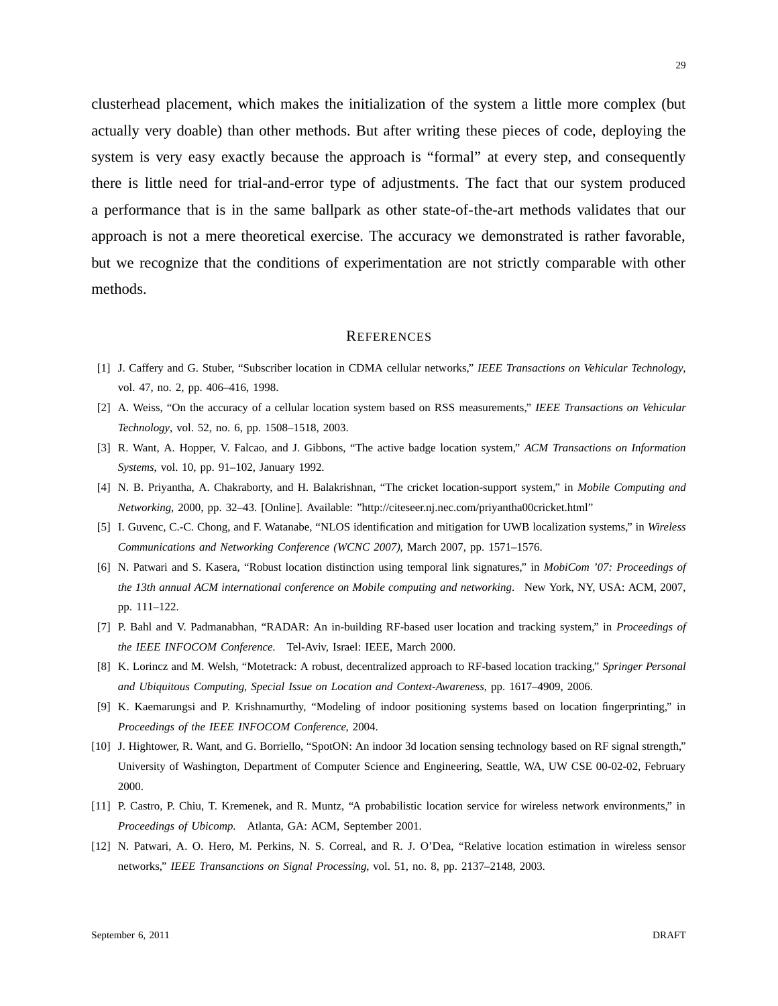clusterhead placement, which makes the initialization of the system a little more complex (but actually very doable) than other methods. But after writing these pieces of code, deploying the system is very easy exactly because the approach is "formal" at every step, and consequently there is little need for trial-and-error type of adjustments. The fact that our system produced a performance that is in the same ballpark as other state-of-the-art methods validates that our approach is not a mere theoretical exercise. The accuracy we demonstrated is rather favorable, but we recognize that the conditions of experimentation are not strictly comparable with other methods.

#### **REFERENCES**

- [1] J. Caffery and G. Stuber, "Subscriber location in CDMA cellular networks," *IEEE Transactions on Vehicular Technology*, vol. 47, no. 2, pp. 406–416, 1998.
- [2] A. Weiss, "On the accuracy of a cellular location system based on RSS measurements," *IEEE Transactions on Vehicular Technology*, vol. 52, no. 6, pp. 1508–1518, 2003.
- [3] R. Want, A. Hopper, V. Falcao, and J. Gibbons, "The active badge location system," *ACM Transactions on Information Systems*, vol. 10, pp. 91–102, January 1992.
- [4] N. B. Priyantha, A. Chakraborty, and H. Balakrishnan, "The cricket location-support system," in *Mobile Computing and Networking*, 2000, pp. 32–43. [Online]. Available: "http://citeseer.nj.nec.com/priyantha00cricket.html"
- [5] I. Guvenc, C.-C. Chong, and F. Watanabe, "NLOS identification and mitigation for UWB localization systems," in *Wireless Communications and Networking Conference (WCNC 2007)*, March 2007, pp. 1571–1576.
- [6] N. Patwari and S. Kasera, "Robust location distinction using temporal link signatures," in *MobiCom '07: Proceedings of the 13th annual ACM international conference on Mobile computing and networking*. New York, NY, USA: ACM, 2007, pp. 111–122.
- [7] P. Bahl and V. Padmanabhan, "RADAR: An in-building RF-based user location and tracking system," in *Proceedings of the IEEE INFOCOM Conference*. Tel-Aviv, Israel: IEEE, March 2000.
- [8] K. Lorincz and M. Welsh, "Motetrack: A robust, decentralized approach to RF-based location tracking," *Springer Personal and Ubiquitous Computing, Special Issue on Location and Context-Awareness*, pp. 1617–4909, 2006.
- [9] K. Kaemarungsi and P. Krishnamurthy, "Modeling of indoor positioning systems based on location fingerprinting," in *Proceedings of the IEEE INFOCOM Conference*, 2004.
- [10] J. Hightower, R. Want, and G. Borriello, "SpotON: An indoor 3d location sensing technology based on RF signal strength," University of Washington, Department of Computer Science and Engineering, Seattle, WA, UW CSE 00-02-02, February 2000.
- [11] P. Castro, P. Chiu, T. Kremenek, and R. Muntz, "A probabilistic location service for wireless network environments," in *Proceedings of Ubicomp*. Atlanta, GA: ACM, September 2001.
- [12] N. Patwari, A. O. Hero, M. Perkins, N. S. Correal, and R. J. O'Dea, "Relative location estimation in wireless sensor networks," *IEEE Transanctions on Signal Processing*, vol. 51, no. 8, pp. 2137–2148, 2003.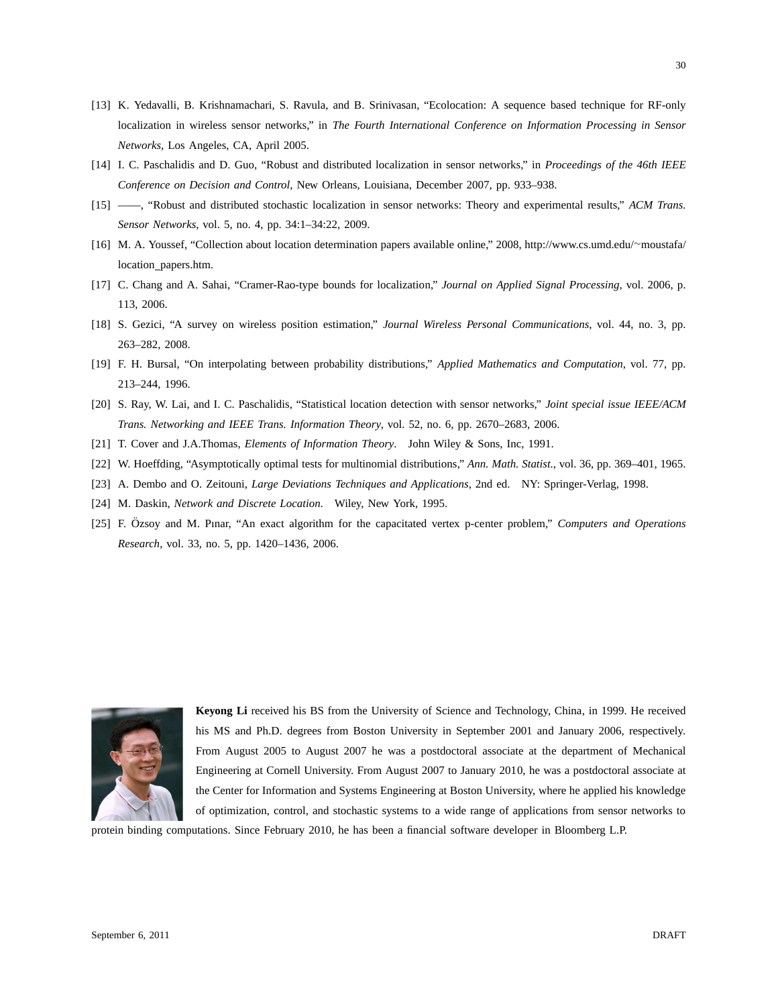- [13] K. Yedavalli, B. Krishnamachari, S. Ravula, and B. Srinivasan, "Ecolocation: A sequence based technique for RF-only localization in wireless sensor networks," in *The Fourth International Conference on Information Processing in Sensor Networks*, Los Angeles, CA, April 2005.
- [14] I. C. Paschalidis and D. Guo, "Robust and distributed localization in sensor networks," in *Proceedings of the 46th IEEE Conference on Decision and Control*, New Orleans, Louisiana, December 2007, pp. 933–938.
- [15] ——, "Robust and distributed stochastic localization in sensor networks: Theory and experimental results," *ACM Trans. Sensor Networks*, vol. 5, no. 4, pp. 34:1–34:22, 2009.
- [16] M. A. Youssef, "Collection about location determination papers available online," 2008, http://www.cs.umd.edu/∼moustafa/ location papers.htm.
- [17] C. Chang and A. Sahai, "Cramer-Rao-type bounds for localization," *Journal on Applied Signal Processing*, vol. 2006, p. 113, 2006.
- [18] S. Gezici, "A survey on wireless position estimation," *Journal Wireless Personal Communications*, vol. 44, no. 3, pp. 263–282, 2008.
- [19] F. H. Bursal, "On interpolating between probability distributions," *Applied Mathematics and Computation*, vol. 77, pp. 213–244, 1996.
- [20] S. Ray, W. Lai, and I. C. Paschalidis, "Statistical location detection with sensor networks," *Joint special issue IEEE/ACM Trans. Networking and IEEE Trans. Information Theory*, vol. 52, no. 6, pp. 2670–2683, 2006.
- [21] T. Cover and J.A.Thomas, *Elements of Information Theory*. John Wiley & Sons, Inc, 1991.
- [22] W. Hoeffding, "Asymptotically optimal tests for multinomial distributions," *Ann. Math. Statist.*, vol. 36, pp. 369–401, 1965.
- [23] A. Dembo and O. Zeitouni, *Large Deviations Techniques and Applications*, 2nd ed. NY: Springer-Verlag, 1998.
- [24] M. Daskin, *Network and Discrete Location*. Wiley, New York, 1995.
- [25] F. Özsoy and M. Pinar, "An exact algorithm for the capacitated vertex p-center problem," *Computers and Operations Research*, vol. 33, no. 5, pp. 1420–1436, 2006.



**Keyong Li** received his BS from the University of Science and Technology, China, in 1999. He received his MS and Ph.D. degrees from Boston University in September 2001 and January 2006, respectively. From August 2005 to August 2007 he was a postdoctoral associate at the department of Mechanical Engineering at Cornell University. From August 2007 to January 2010, he was a postdoctoral associate at the Center for Information and Systems Engineering at Boston University, where he applied his knowledge of optimization, control, and stochastic systems to a wide range of applications from sensor networks to

protein binding computations. Since February 2010, he has been a financial software developer in Bloomberg L.P.